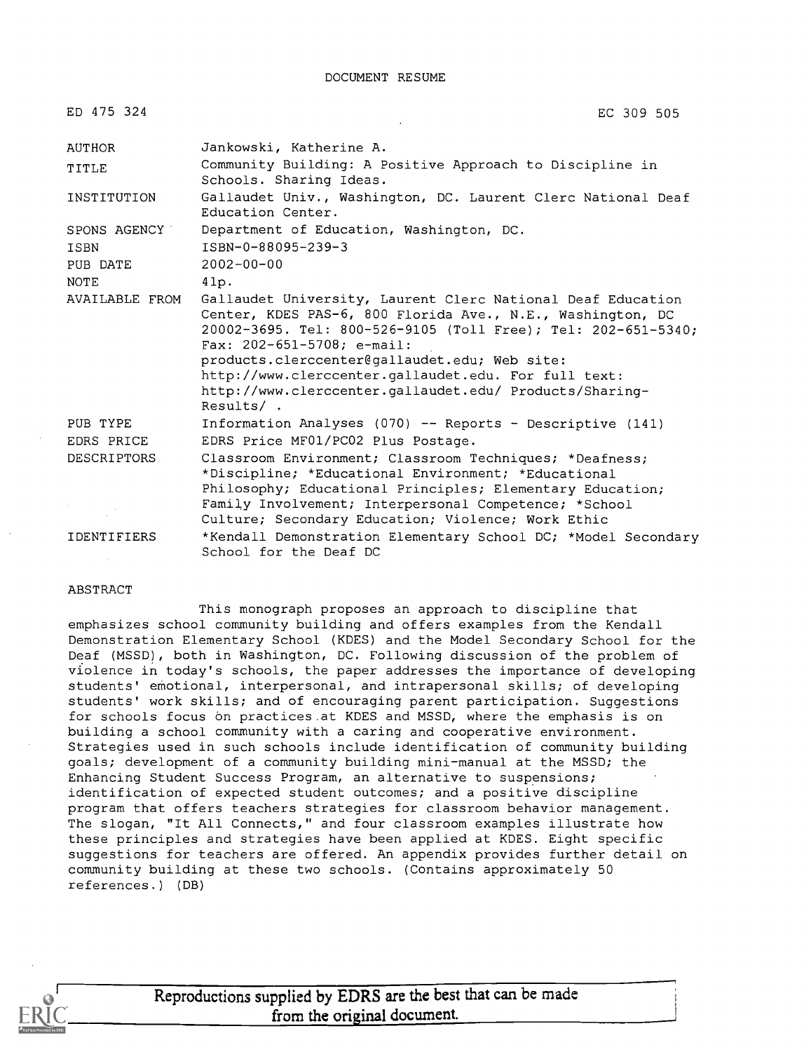| ED 475 324                              | EC 309 505                                                                                                                                                                                                                                                                                                                                                                                                   |
|-----------------------------------------|--------------------------------------------------------------------------------------------------------------------------------------------------------------------------------------------------------------------------------------------------------------------------------------------------------------------------------------------------------------------------------------------------------------|
| AUTHOR                                  | Jankowski, Katherine A.                                                                                                                                                                                                                                                                                                                                                                                      |
| TITLE                                   | Community Building: A Positive Approach to Discipline in<br>Schools. Sharing Ideas.                                                                                                                                                                                                                                                                                                                          |
| INSTITUTION                             | Gallaudet Univ., Washington, DC. Laurent Clerc National Deaf<br>Education Center.                                                                                                                                                                                                                                                                                                                            |
| SPONS AGENCY                            | Department of Education, Washington, DC.                                                                                                                                                                                                                                                                                                                                                                     |
| ISBN                                    | ISBN-0-88095-239-3                                                                                                                                                                                                                                                                                                                                                                                           |
| PUB DATE                                | $2002 - 00 - 00$                                                                                                                                                                                                                                                                                                                                                                                             |
| <b>NOTE</b>                             | 41p.                                                                                                                                                                                                                                                                                                                                                                                                         |
| AVAILABLE FROM                          | Gallaudet University, Laurent Clerc National Deaf Education<br>Center, KDES PAS-6, 800 Florida Ave., N.E., Washington, DC<br>20002-3695. Tel: 800-526-9105 (Toll Free); Tel: 202-651-5340;<br>Fax: $202-651-5708$ ; e-mail:<br>products.clerccenter@gallaudet.edu; Web site:<br>http://www.clerccenter.gallaudet.edu. For full text:<br>http://www.clerccenter.gallaudet.edu/ Products/Sharing-<br>Results/. |
| PUB TYPE                                | Information Analyses (070) -- Reports - Descriptive (141)                                                                                                                                                                                                                                                                                                                                                    |
| EDRS PRICE                              | EDRS Price MF01/PC02 Plus Postage.                                                                                                                                                                                                                                                                                                                                                                           |
| <b>DESCRIPTORS</b>                      | Classroom Environment; Classroom Techniques; *Deafness;<br>*Discipline; *Educational Environment; *Educational<br>Philosophy; Educational Principles; Elementary Education;<br>Family Involvement; Interpersonal Competence; *School<br>Culture; Secondary Education; Violence; Work Ethic                                                                                                                   |
| <b>IDENTIFIERS</b><br><b>Contractor</b> | *Kendall Demonstration Elementary School DC; *Model Secondary<br>School for the Deaf DC                                                                                                                                                                                                                                                                                                                      |

#### ABSTRACT

This monograph proposes an approach to discipline that emphasizes school community building and offers examples from the Kendall Demonstration Elementary School (KDES) and the Model Secondary School for the Deaf (MSSD), both in Washington, DC. Following discussion of the problem of violence in today's schools, the paper addresses the importance of developing students' emotional, interpersonal, and intrapersonal skills; of developing students' work skills; and of encouraging parent participation. Suggestions for schools focus on practices at KDES and MSSD, where the emphasis is on building a school community with a caring and cooperative environment. Strategies used in such schools include identification of community building goals; development of a community building mini-manual at the MSSD; the Enhancing Student Success Program, an alternative to suspensions; identification of expected student outcomes; and a positive discipline program that offers teachers strategies for classroom behavior management. The slogan, "It All Connects," and four classroom examples illustrate how these principles and strategies have been applied at KDES. Eight specific suggestions for teachers are offered. An appendix provides further detail on community building at these two schools. (Contains approximately 50 references.) (DB)



Reproductions supplied by EDRS are the best that can be made from the original document.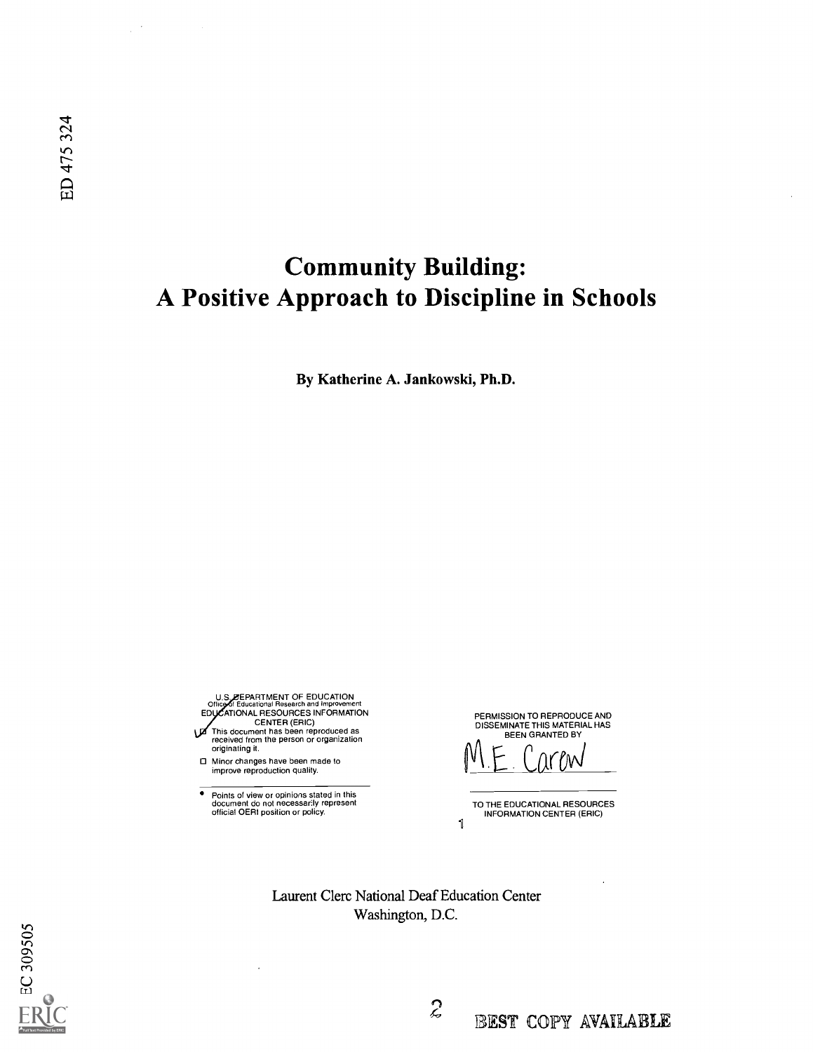# Community Building: A Positive Approach to Discipline in Schools

By Katherine A. Jankowski, Ph.D.

U.S. EPARTMENT OF EDUCATION<br>Office of Educational Research and Improvement Office of Educational Research and Improvement<br>EDUCATIONAL RESOURCES INFORMATION<br>CENTER (ERIC)<br>This document has been reproduced as<br>received from the person or organization<br>originating it.

Minor changes have been made to improve reproduction quality.

 $\bullet$ Points of view or opinions stated in this document do not necessarily represent official OERI position or policy. PERMISSION TO REPRODUCE AND DISSEMINATE THIS MATERIAL HAS BEEN GRANTED BY

 $C\mu$ r $\mu$ 

TO THE EDUCATIONAL RESOURCES INFORMATION CENTER (ERIC) 1

Laurent Clerc National Deaf Education Center Washington, D.C.

 $\mathcal{L}$ 

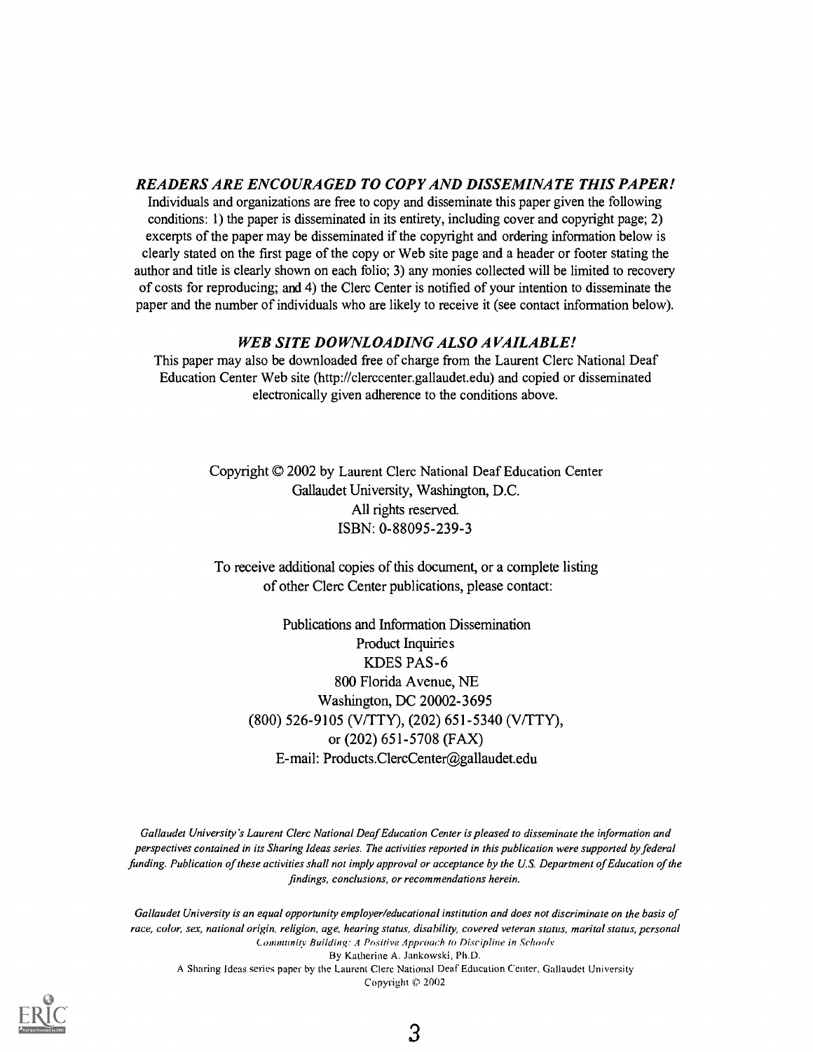#### READERS ARE ENCOURAGED TO COPY AND DISSEMINATE THIS PAPER!

Individuals and organizations are free to copy and disseminate this paper given the following conditions: 1) the paper is disseminated in its entirety, including cover and copyright page; 2) excerpts of the paper may be disseminated if the copyright and ordering information below is clearly stated on the first page of the copy or Web site page and a header or footer stating the author and title is clearly shown on each folio; 3) any monies collected will be limited to recovery of costs for reproducing; and 4) the Clerc Center is notified of your intention to disseminate the paper and the number of individuals who are likely to receive it (see contact information below).

#### WEB SITE DOWNLOADING ALSO AVAILABLE!

This paper may also be downloaded free of charge from the Laurent Clerc National Deaf Education Center Web site (http://clerccenter.gallaudet.edu) and copied or disseminated electronically given adherence to the conditions above.

> Copyright © 2002 by Laurent Clerc National Deaf Education Center Gallaudet University, Washington, D.C. All rights reserved. ISBN: 0-88095-239-3

To receive additional copies of this document, or a complete listing of other Clerc Center publications, please contact:

Publications and Information Dissemination Product Inquiries KDES PAS-6 800 Florida Avenue, NE Washington, DC 20002-3695 (800) 526-9105 (V/TTY), (202) 651-5340 (V/TTY), or (202) 651-5708 (FAX) E-mail: Products.ClercCenter@gallaudet.edu

Gallaudet University's Laurent Clerc National Deaf Education Center is pleased to disseminate the information and perspectives contained in its Sharing Ideas series. The activities reported in this publication were supported by federal funding. Publication of these activities shall not imply approval or acceptance by the U.S. Department of Education of the findings, conclusions, or recommendations herein.

Gallaudet University is an equal opportunity employer/educational institution and does not discriminate on the basis of race, color, sex, national origin, religion, age, hearing status, disability, covered veteran status, marital status, personal Community Building: A Positive Approach to Discipline in Schools By Katherine A. Jankowski, Ph.D. A Sharing Ideas series paper by the Laurent Clere National Deaf Education Center, Gallaudet University Copyright © 2002

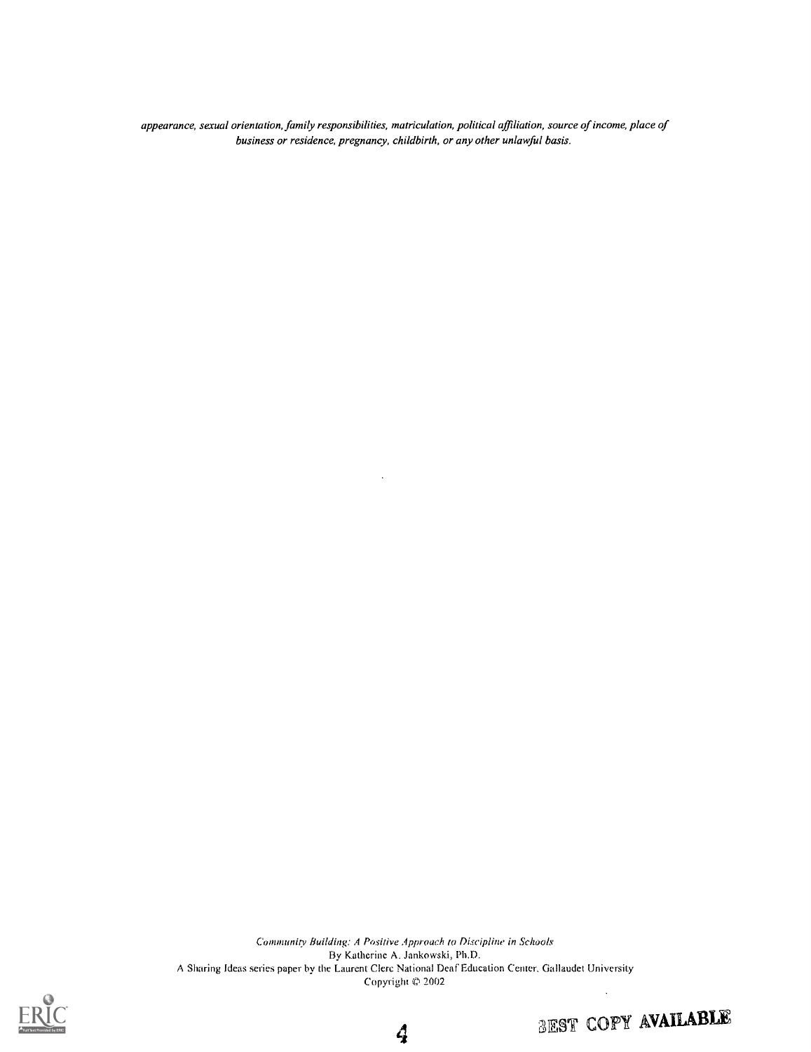appearance, sexual orientation, family responsibilities, matriculation, political affiliation, source of income, place of business or residence, pregnancy, childbirth, or any other unlawful basis.

Community Building: A Positive Approach to Discipline in Schools By Katherine A. Jankowski, Ph.D. A Sharing Ideas series paper by the Laurent Clere National Deaf Education Center, Gallaudet University Copyright © 2002  $\ddot{\phantom{a}}$ 

4



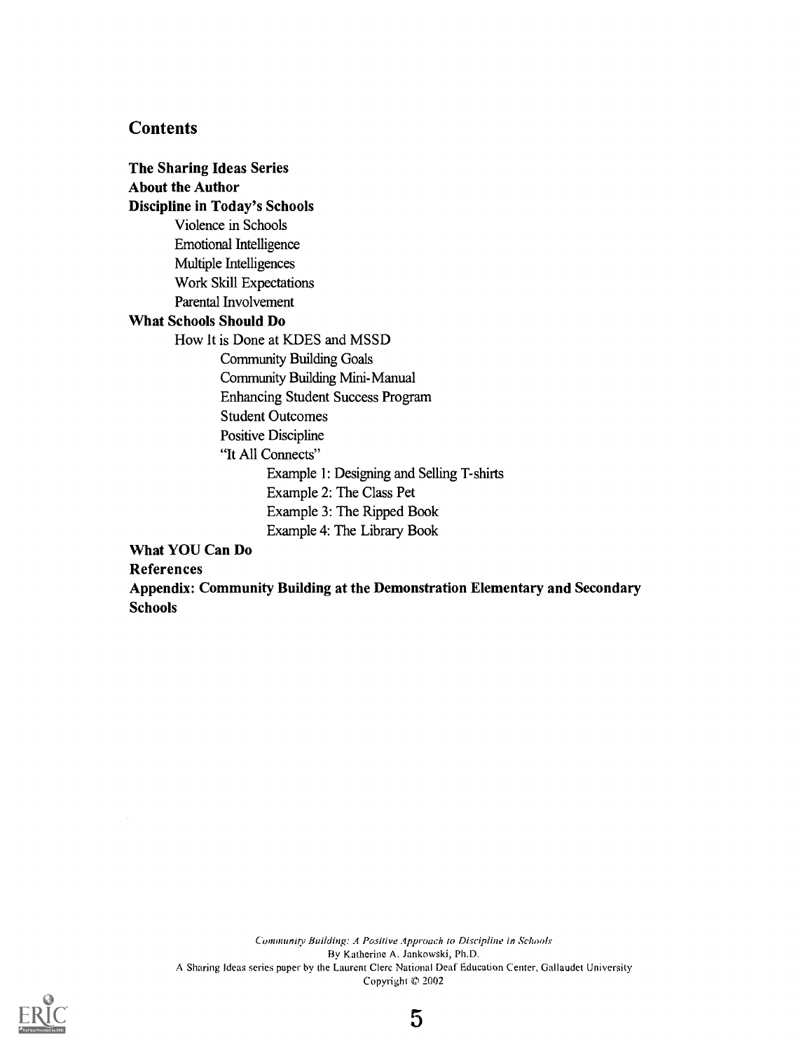#### **Contents**

The Sharing Ideas Series About the Author Discipline in Today's Schools Violence in Schools Emotional Intelligence Multiple Intelligences Work Skill Expectations Parental Involvement What Schools Should Do How It is Done at KDES and MSSD Community Building Goals Community Building Mini-Manual Enhancing Student Success Program Student Outcomes Positive Discipline "It All Connects" Example 1: Designing and Selling T-shirts Example 2: The Class Pet Example 3: The Ripped Book Example 4: The Library Book What YOU Can Do

References

Appendix: Community Building at the Demonstration Elementary and Secondary **Schools** 

Community Building: A Positive Approach to Discipline in Schools By Katherine A. Jankowski, Ph.D. A Sharing Ideas series paper by the Laurent Clerc National Deaf Education Center, Gallaudet University Copyright '© 2002

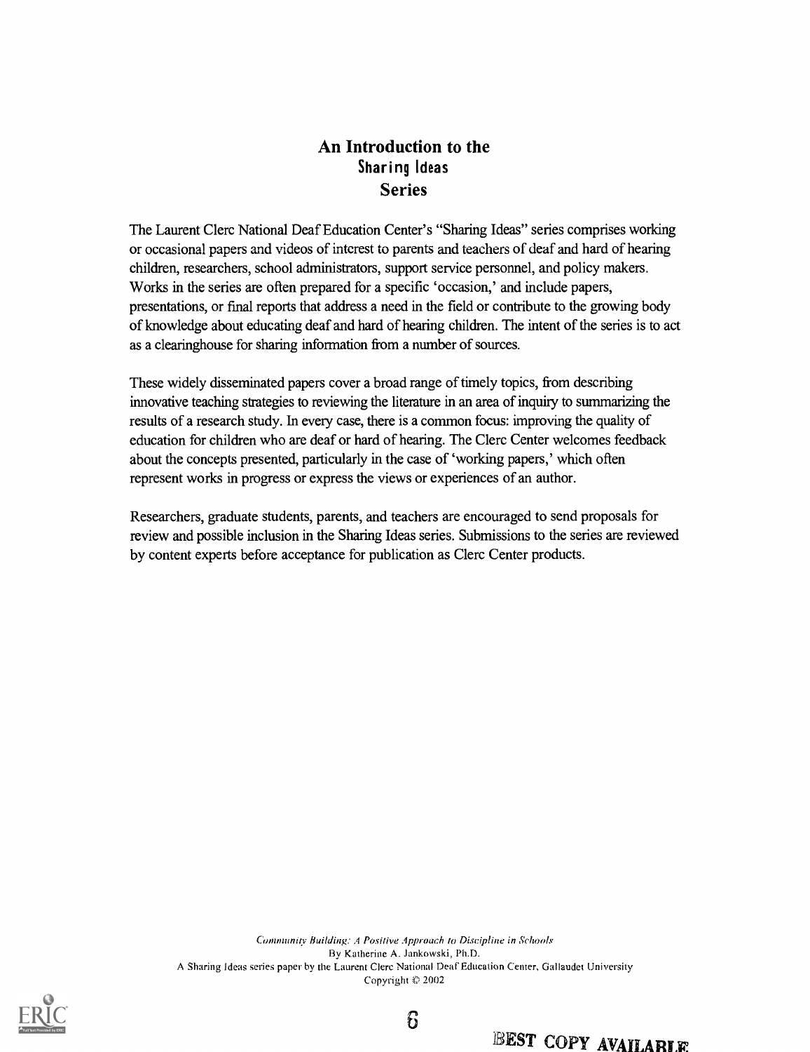## An Introduction to the Sharing Ideas Series

The Laurent Clerc National Deaf Education Center's "Sharing Ideas" series comprises working or occasional papers and videos of interest to parents and teachers of deaf and hard of hearing children, researchers, school administrators, support service personnel, and policy makers. Works in the series are often prepared for a specific 'occasion,' and include papers, presentations, or final reports that address a need in the field or contribute to the growing body of knowledge about educating deaf and hard of hearing children. The intent of the series is to act as a clearinghouse for sharing information from a number of sources.

These widely disseminated papers cover a broad range of timely topics, from describing innovative teaching strategies to reviewing the literature in an area of inquiry to summarizing the results of a research study. In every case, there is a common focus: improving the quality of education for children who are deaf or hard of hearing. The Clerc Center welcomes feedback about the concepts presented, particularly in the case of 'working papers,' which often represent works in progress or express the views or experiences of an author.

Researchers, graduate students, parents, and teachers are encouraged to send proposals for review and possible inclusion in the Sharing Ideas series. Submissions to the series are reviewed by content experts before acceptance for publication as Clerc Center products.

Community Building: A Positive Approach to Discipline in Schools By Katherine A. Jankowski, Ph.D. A Sharing Ideas series paper by the Laurent Clerc National Deaf'Education Center, Gallaudet University Copyright  $© 2002$ 

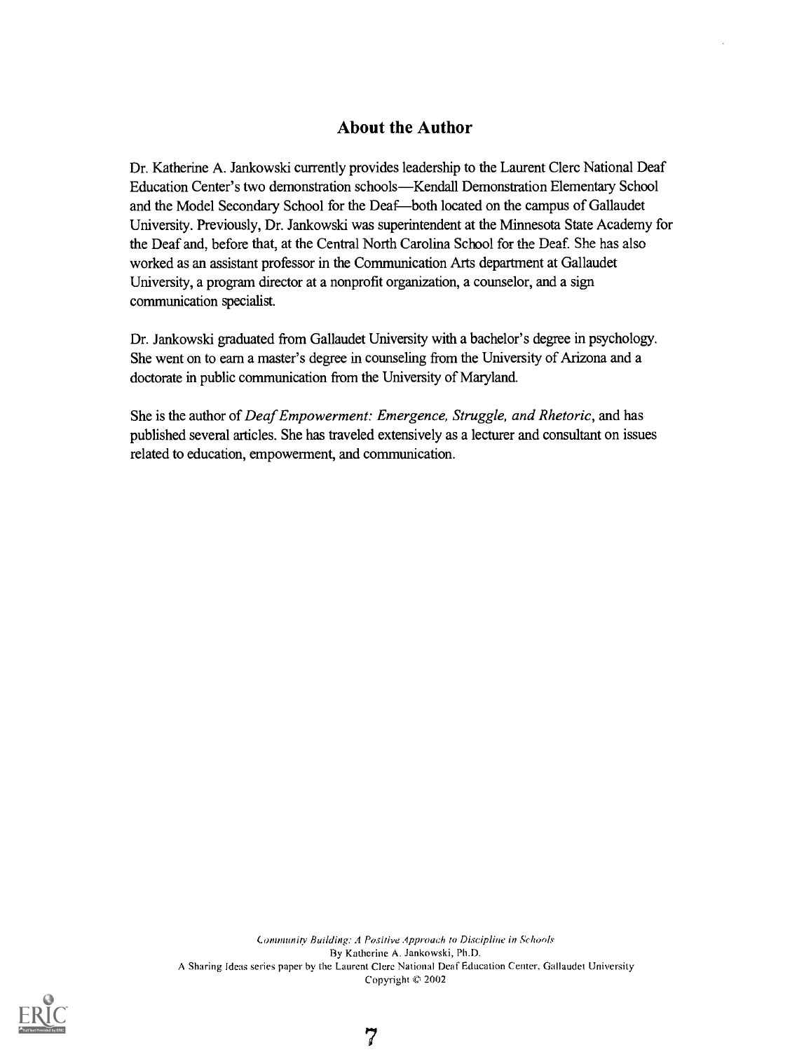#### About the Author

Dr. Katherine A. Jankowski currently provides leadership to the Laurent Clerc National Deaf Education Center's two demonstration schools-Kendall Demonstration Elementary School and the Model Secondary School for the Deaf-both located on the campus of Gallaudet University. Previously, Dr. Jankowski was superintendent at the Minnesota State Academy for the Deaf and, before that, at the Central North Carolina School for the Deaf. She has also worked as an assistant professor in the Communication Arts department at Gallaudet University, a program director at a nonprofit organization, a counselor, and a sign communication specialist.

Dr. Jankowski graduated from Gallaudet University with a bachelor's degree in psychology. She went on to earn a master's degree in counseling from the University of Arizona and a doctorate in public communication from the University of Maryland.

She is the author of Deaf Empowerment: Emergence, Struggle, and Rhetoric, and has published several articles. She has traveled extensively as a lecturer and consultant on issues related to education, empowerment, and communication.

Canununity Building: .4 Positive Approach to Discipline in Schools By Katherine A. Jankowski, Ph.D. A Sharing Ideas series paper by the Laurent Clere National Deaf Education Center, Gallaudet University Copyright © 2002



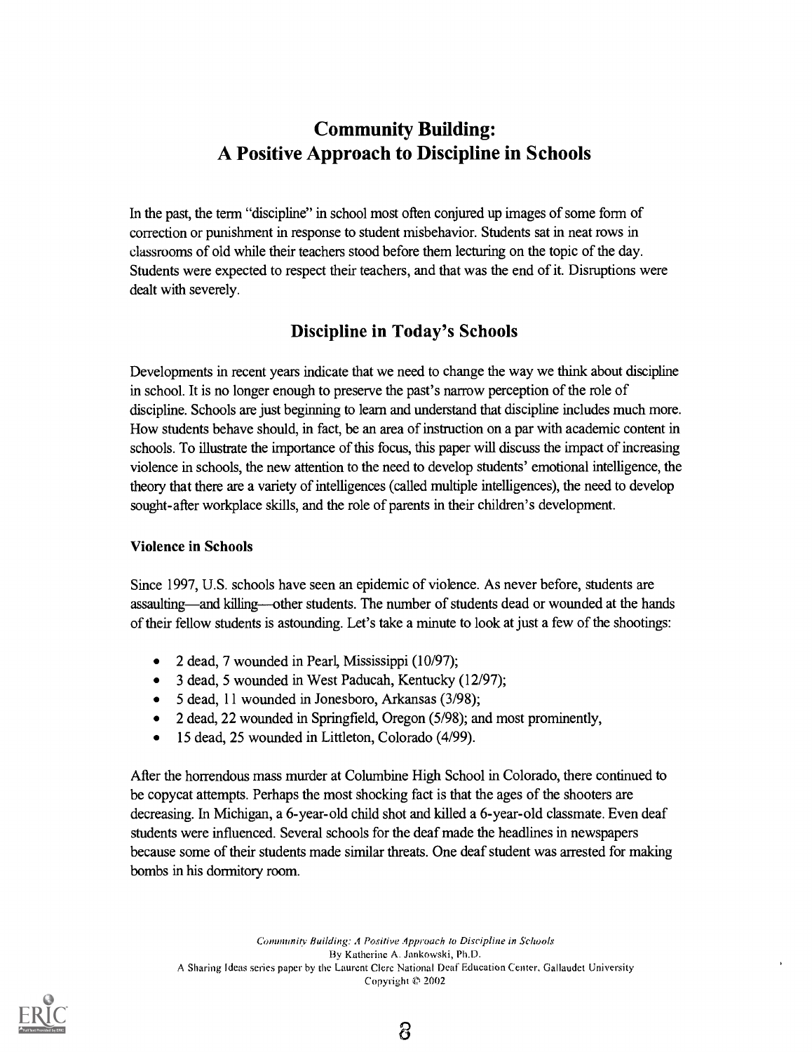# Community Building: A Positive Approach to Discipline in Schools

In the past, the term "discipline" in school most often conjured up images of some form of correction or punishment in response to student misbehavior. Students sat in neat rows in classrooms of old while their teachers stood before them lecturing on the topic of the day. Students were expected to respect their teachers, and that was the end of it. Disruptions were dealt with severely.

## Discipline in Today's Schools

Developments in recent years indicate that we need to change the way we think about discipline in school. It is no longer enough to preserve the past's narrow perception of the role of discipline. Schools are just beginning to learn and understand that discipline includes much more. How students behave should, in fact, be an area of instruction on a par with academic content in schools. To illustrate the importance of this focus, this paper will discuss the impact of increasing violence in schools, the new attention to the need to develop students' emotional intelligence, the theory that there are a variety of intelligences (called multiple intelligences), the need to develop sought-after workplace skills, and the role of parents in their children's development.

#### Violence in Schools

Since 1997, U.S. schools have seen an epidemic of violence. As never before, students are assaulting—and killing—other students. The number of students dead or wounded at the hands of their fellow students is astounding. Let's take a minute to look at just a few of the shootings:

- 2 dead, 7 wounded in Pearl, Mississippi (10/97);
- 3 dead, 5 wounded in West Paducah, Kentucky (12/97);
- 5 dead, 11 wounded in Jonesboro, Arkansas (3/98);
- 2 dead, 22 wounded in Springfield, Oregon (5/98); and most prominently,
- 15 dead, 25 wounded in Littleton, Colorado (4/99).  $\bullet$

After the horrendous mass murder at Columbine High School in Colorado, there continued to be copycat attempts. Perhaps the most shocking fact is that the ages of the shooters are decreasing. In Michigan, a 6-year-old child shot and killed a 6-year-old classmate. Even deaf students were influenced. Several schools for the deaf made the headlines in newspapers because some of their students made similar threats. One deaf student was arrested for making bombs in his dormitory room.

Community Building: A Positive Approach to Discipline in Schools By Katherine A. Jankowski, Ph.D. A Sharing Ideas series paper by the Laurent Clerc National Deaf Education Center, Gallaudet University Copyright 2002

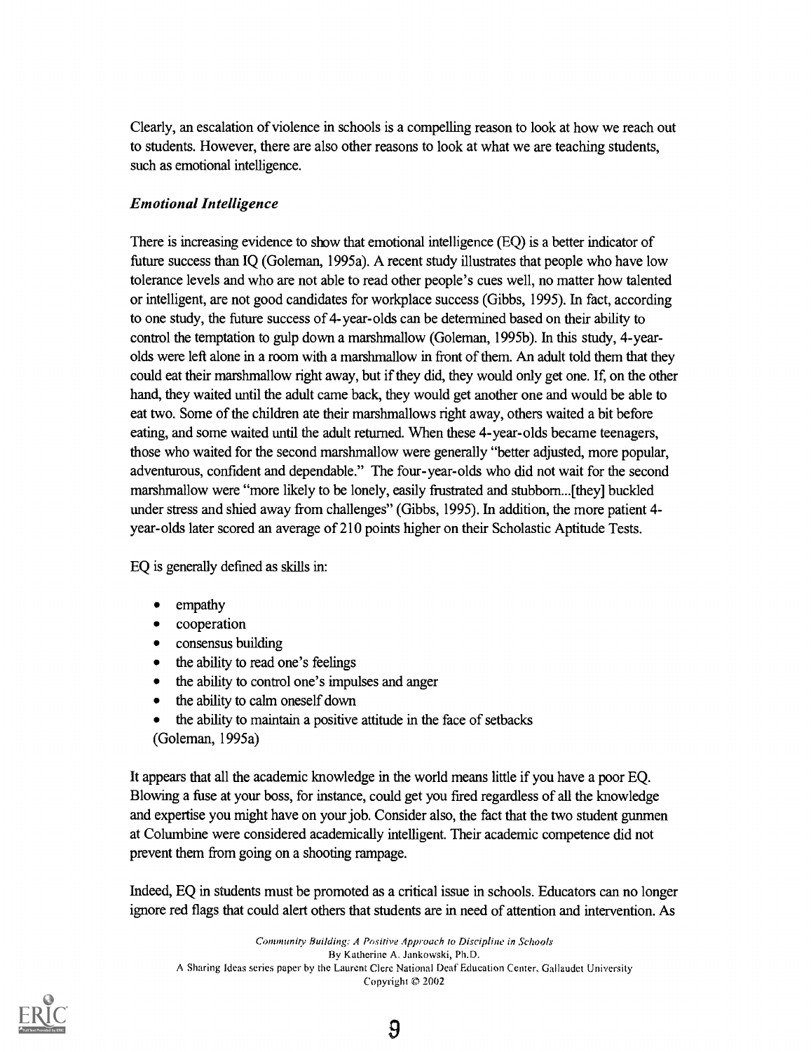Clearly, an escalation of violence in schools is a compelling reason to look at how we reach out to students. However, there are also other reasons to look at what we are teaching students, such as emotional intelligence.

#### Emotional Intelligence

There is increasing evidence to show that emotional intelligence (EQ) is a better indicator of future success than IQ (Goleman, 1995a). A recent study illustrates that people who have low tolerance levels and who are not able to read other people's cues well, no matter how talented or intelligent, are not good candidates for workplace success (Gibbs, 1995). In fact, according to one study, the future success of 4-year-olds can be determined based on their ability to control the temptation to gulp down a marshmallow (Goleman, 1995b). In this study, 4-yearolds were left alone in a room with a marshmallow in front of them. An adult told them that they could eat their marshmallow right away, but if they did, they would only get one. If, on the other hand, they waited until the adult came back, they would get another one and would be able to eat two. Some of the children ate their marshmallows right away, others waited a bit before eating, and some waited until the adult returned. When these 4-year-olds became teenagers, those who waited for the second marshmallow were generally "better adjusted, more popular, adventurous, confident and dependable." The four-year-olds who did not wait for the second marshmallow were "more likely to be lonely, easily frustrated and stubbom...[they] buckled under stress and shied away from challenges" (Gibbs, 1995). In addition, the more patient 4 year -olds later scored an average of 210 points higher on their Scholastic Aptitude Tests.

EQ is generally defined as skills in:

- empathy
- cooperation
- consensus building
- the ability to read one's feelings
- the ability to control one's impulses and anger
- the ability to calm oneself down
- the ability to maintain a positive attitude in the face of setbacks (Goleman, 1995a)

It appears that all the academic knowledge in the world means little if you have a poor EQ. Blowing a fuse at your boss, for instance, could get you fired regardless of all the knowledge and expertise you might have on your job. Consider also, the fact that the two student gunmen at Columbine were considered academically intelligent. Their academic competence did not prevent them from going on a shooting rampage.

Indeed, EQ in students must be promoted as a critical issue in schools. Educators can no longer ignore red flags that could alert others that students are in need of attention and intervention. As

Community Building: A Positive Approach to Discipline in Schools By Katherine A. Jankowski, Ph.D. A Sharing Ideas series paper by the Laurent Clerc National Deaf Education Center, Gallaudet University Copyright © 2002



9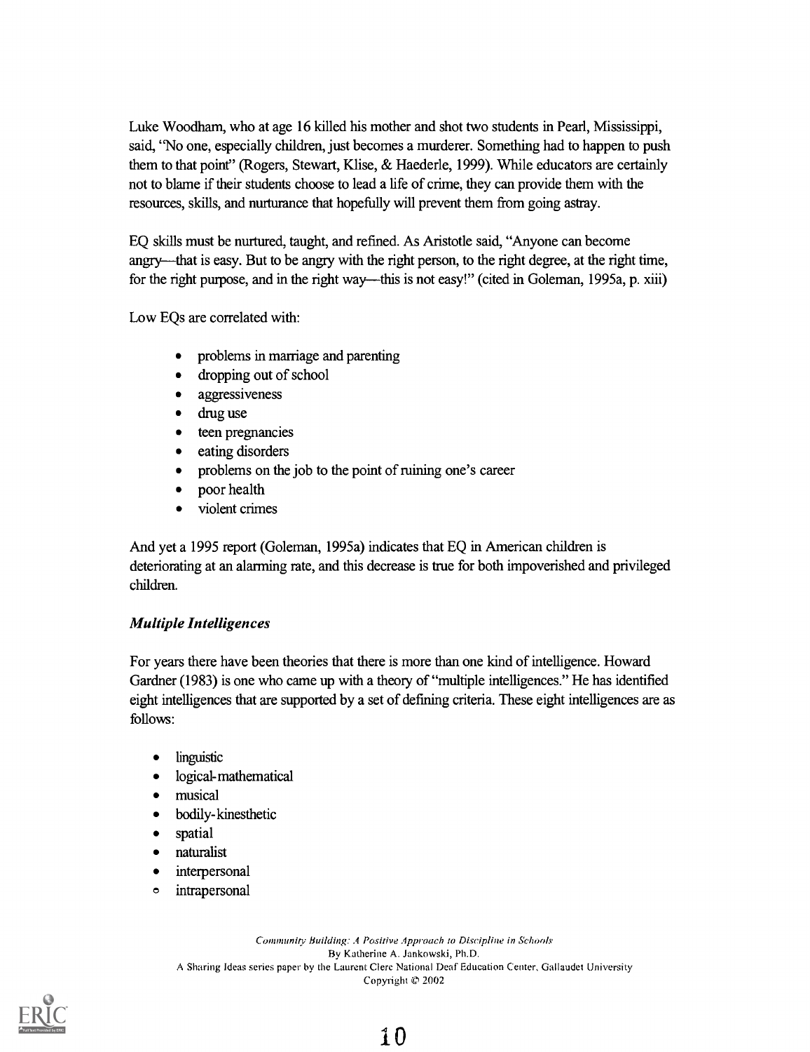Luke Woodham, who at age 16 killed his mother and shot two students in Pearl, Mississippi, said, "No one, especially children, just becomes a murderer. Something had to happen to push them to that point" (Rogers, Stewart, Klise, & Haederle, 1999). While educators are certainly not to blame if their students choose to lead a life of crime, they can provide them with the resources, skills, and nurturance that hopefully will prevent them from going astray.

EQ skills must be nurtured, taught, and refined. As Aristotle said, "Anyone can become angry—that is easy. But to be angry with the right person, to the right degree, at the right time, for the right purpose, and in the right way—this is not easy!" (cited in Goleman, 1995a, p. xiii)

Low EQs are correlated with:

- problems in marriage and parenting
- dropping out of school  $\bullet$
- aggressiveness
- drug use
- teen pregnancies
- eating disorders
- problems on the job to the point of mining one's career
- poor health
- violent crimes  $\bullet$

And yet a 1995 report (Goleman, 1995a) indicates that EQ in American children is deteriorating at an alarming rate, and this decrease is true for both impoverished and privileged children.

#### Multiple Intelligences

For years there have been theories that there is more than one kind of intelligence. Howard Gardner (1983) is one who came up with a theory of "multiple intelligences." He has identified eight intelligences that are supported by a set of defining criteria. These eight intelligences are as follows:

- linguistic
- logical-mathematical
- musical
- bodily-kinesthetic
- spatial
- naturalist
- interpersonal  $\bullet$
- intrapersonal  $\bullet$

Community Building: A Positive Approach to Discipline in Schools By Katherine A. Jankowski, Ph.D. A Sharing Ideas series paper by the Laurent Clere National Deaf Education Center, Gallaudet University Copyright  $$2002$ 

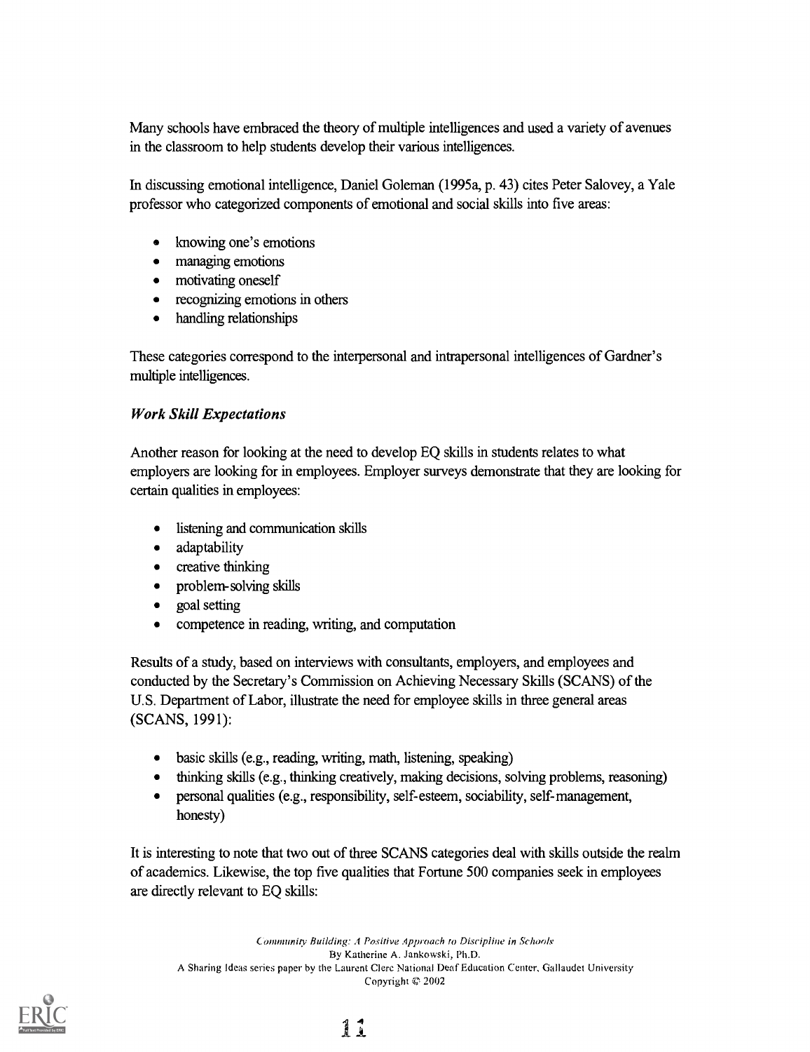Many schools have embraced the theory of multiple intelligences and used a variety of avenues in the classroom to help students develop their various intelligences.

In discussing emotional intelligence, Daniel Goleman (1995a, p. 43) cites Peter Salovey, a Yale professor who categorized components of emotional and social skills into five areas:

- knowing one's emotions
- managing emotions  $\bullet$
- motivating oneself
- recognizing emotions in others
- handling relationships

These categories correspond to the interpersonal and intrapersonal intelligences of Gardner's multiple intelligences.

#### Work Skill Expectations

Another reason for looking at the need to develop EQ skills in students relates to what employers are looking for in employees. Employer surveys demonstrate that they are looking for certain qualities in employees:

- listening and communication skills
- adaptability
- creative thinking  $\bullet$
- problem-solving skills  $\bullet$
- goal setting  $\bullet$
- competence in reading, writing, and computation

Results of a study, based on interviews with consultants, employers, and employees and conducted by the Secretary's Commission on Achieving Necessary Skills (SCANS) of the U.S. Department of Labor, illustrate the need for employee skills in three general areas (SCANS, 1991):

- basic skills (e.g., reading, writing, math, listening, speaking)
- thinking skills (e.g., thinking creatively, making decisions, solving problems, reasoning)
- personal qualities (e.g., responsibility, self-esteem, sociability, self-management,  $\bullet$ honesty)

It is interesting to note that two out of three SCANS categories deal with skills outside the realm of academics. Likewise, the top five qualities that Fortune 500 companies seek in employees are directly relevant to EQ skills:

Community Building: A Positive Approach to Discipline in Schools By Katherine A. Jankowski, Ph.D. A Sharing Ideas series paper by the Laurent Clerc National Deaf Education Center, Gallaudet University Copyright © 2002



# $\begin{array}{c} 1 \\ 1 \end{array}$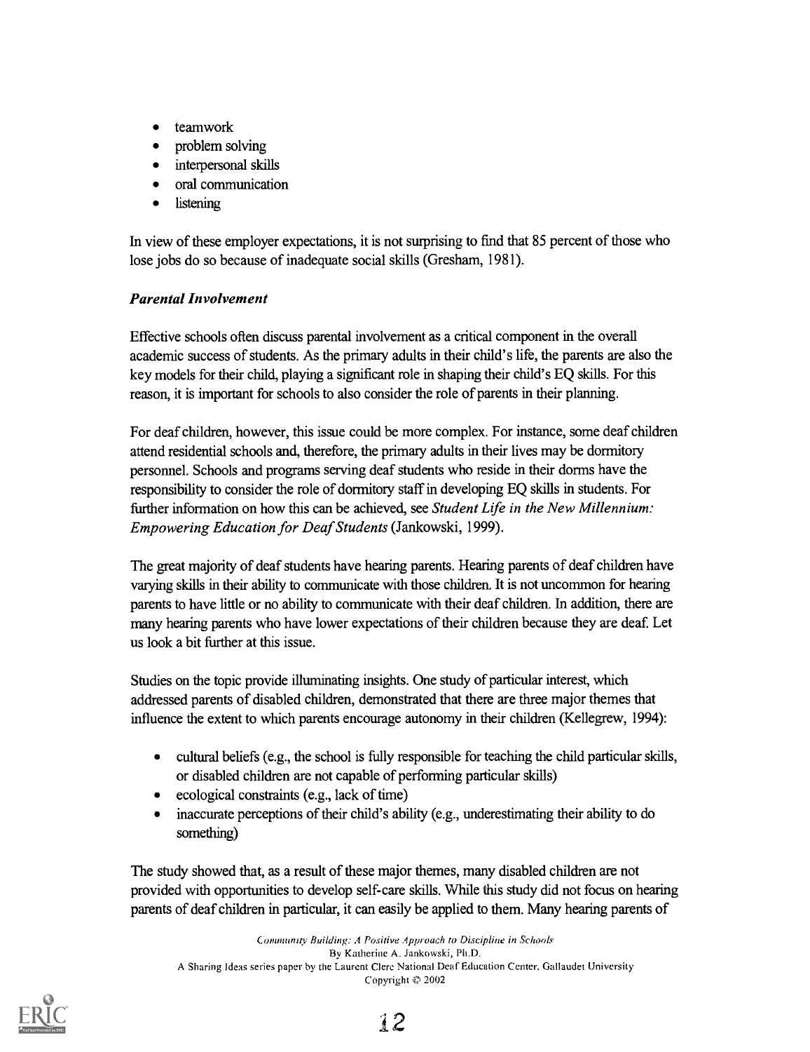- teamwork
- problem solving
- interpersonal skills
- oral communication
- listening

In view of these employer expectations, it is not surprising to find that 85 percent of those who lose jobs do so because of inadequate social skills (Gresham, 1981).

#### Parental Involvement

Effective schools often discuss parental involvement as a critical component in the overall academic success of students. As the primary adults in their child's life, the parents are also the key models for their child, playing a significant role in shaping their child's EQ skills. For this reason, it is important for schools to also consider the role of parents in their planning.

For deaf children, however, this issue could be more complex. For instance, some deaf children attend residential schools and, therefore, the primary adults in their lives may be dormitory personnel. Schools and programs serving deaf students who reside in their dorms have the responsibility to consider the role of dormitory staff in developing EQ skills in students. For further information on how this can be achieved, see Student Life in the New Millennium: Empowering Education for Deaf Students (Jankowski, 1999).

The great majority of deaf students have hearing parents. Hearing parents of deaf children have varying skills in their ability to communicate with those children. It is not uncommon for hearing parents to have little or no ability to communicate with their deaf children. In addition, there are many hearing parents who have lower expectations of their children because they are deaf. Let us look a bit further at this issue.

Studies on the topic provide illuminating insights. One study of particular interest, which addressed parents of disabled children, demonstrated that there are three major themes that influence the extent to which parents encourage autonomy in their children (Kellegrew, 1994):

- cultural beliefs (e.g., the school is fully responsible for teaching the child particular skills,  $\bullet$ or disabled children are not capable of performing particular skills)
- ecological constraints (e.g., lack of time)
- inaccurate perceptions of their child's ability (e.g., underestimating their ability to do something)

The study showed that, as a result of these major themes, many disabled children are not provided with opportunities to develop self-care skills. While this study did not focus on hearing parents of deaf children in particular, it can easily be applied to them. Many hearing parents of

Community Building: A Positive Approach to Discipline in Schools By Katherine A. Jankowski, Ph.D. A Sharing Ideas series paper by the Laurent Clere National Deaf Education Center, Gallaudet University Copyright  $© 2002$ 

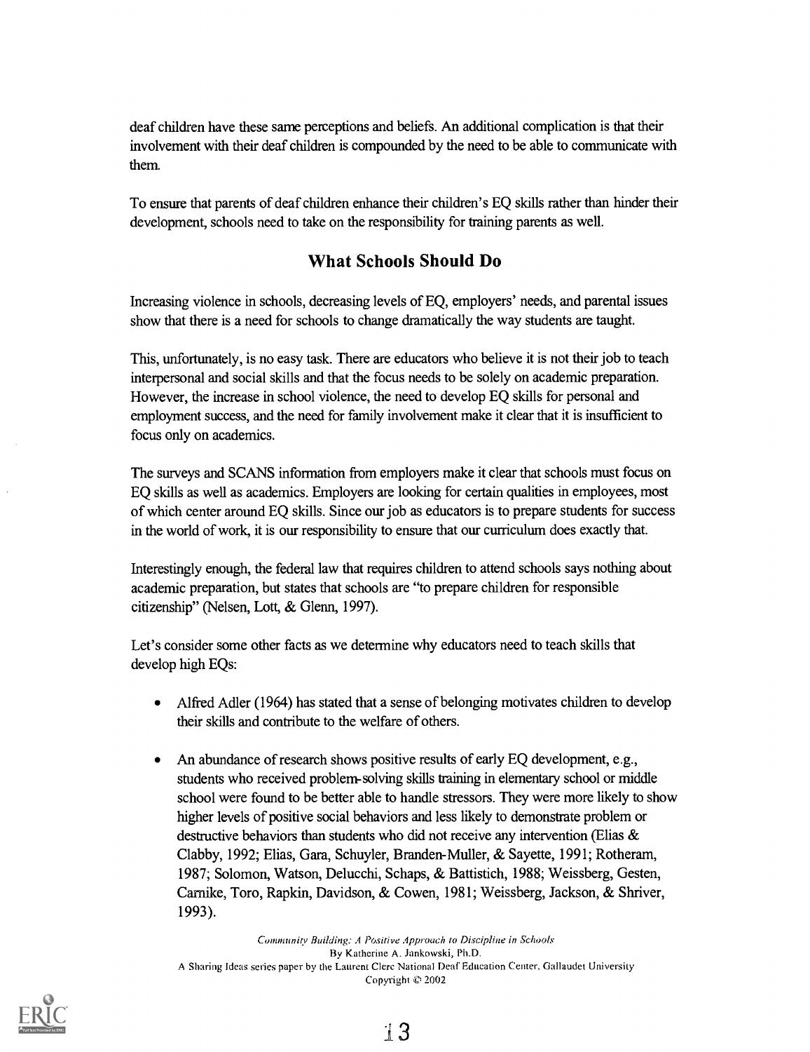deaf children have these same perceptions and beliefs. An additional complication is that their involvement with their deaf children is compounded by the need to be able to communicate with them.

To ensure that parents of deaf children enhance their children's EQ skills rather than hinder their development, schools need to take on the responsibility for training parents as well.

#### What Schools Should Do

Increasing violence in schools, decreasing levels of EQ, employers' needs, and parental issues show that there is a need for schools to change dramatically the way students are taught.

This, unfortunately, is no easy task. There are educators who believe it is not their job to teach interpersonal and social skills and that the focus needs to be solely on academic preparation. However, the increase in school violence, the need to develop EQ skills for personal and employment success, and the need for family involvement make it clear that it is insufficient to focus only on academics.

The surveys and SCANS information from employers make it clear that schools must focus on EQ skills as well as academics. Employers are looking for certain qualities in employees, most of which center around EQ skills. Since our job as educators is to prepare students for success in the world of work, it is our responsibility to ensure that our curriculum does exactly that.

Interestingly enough, the federal law that requires children to attend schools says nothing about academic preparation, but states that schools are "to prepare children for responsible citizenship" (Nelsen, Lott, & Glenn, 1997).

Let's consider some other facts as we determine why educators need to teach skills that develop high EQs:

- Alfred Adler (1964) has stated that a sense of belonging motivates children to develop their skills and contribute to the welfare of others.
- An abundance of research shows positive results of early EQ development, e.g.,  $\bullet$ students who received problem-solving skills training in elementary school or middle school were found to be better able to handle stressors. They were more likely to show higher levels of positive social behaviors and less likely to demonstrate problem or destructive behaviors than students who did not receive any intervention (Elias & Clabby, 1992; Elias, Gara, Schuyler, Branden-Muller, & Sayette, 1991; Rotheram, 1987; Solomon, Watson, Delucchi, Schaps, & Battistich, 1988; Weissberg, Gesten, Carnike, Toro, Rapkin, Davidson, & Cowen, 1981; Weissberg, Jackson, & Shriver, 1993).

Community Building: A Positive Approach to Discipline in Schools By Katherine A. Jankowski, Ph.D. A Sharing Ideas series paper by the Laurent Clerc National Deaf Education Center, Gallaudet University Copyright  $$2002$ 

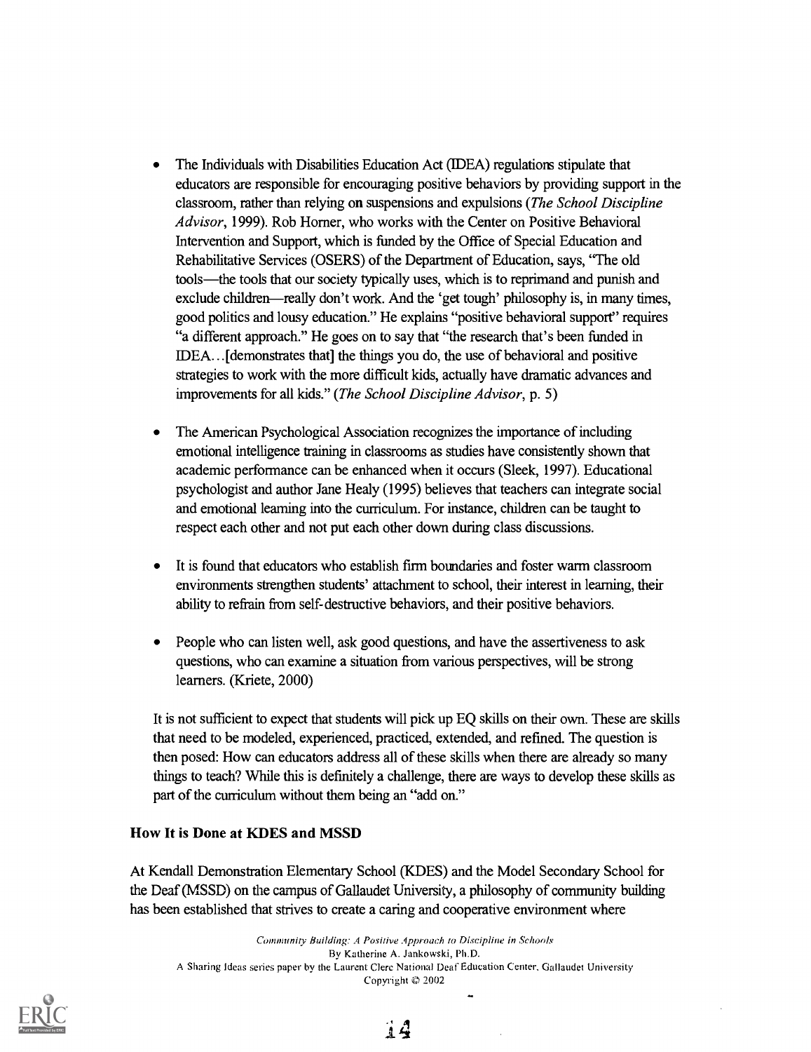- The Individuals with Disabilities Education Act (IDEA) regulations stipulate that educators are responsible for encouraging positive behaviors by providing support in the classroom, rather than relying on suspensions and expulsions (*The School Discipline* Advisor, 1999). Rob Homer, who works with the Center on Positive Behavioral Intervention and Support, which is funded by the Office of Special Education and Rehabilitative Services (OSERS) of the Department of Education, says, "The old tools—the tools that our society typically uses, which is to reprimand and punish and exclude children—really don't work. And the 'get tough' philosophy is, in many times, good politics and lousy education." He explains "positive behavioral support" requires "a different approach." He goes on to say that "the research that's been funded in IDEA... [demonstrates that] the things you do, the use of behavioral and positive strategies to work with the more difficult kids, actually have dramatic advances and improvements for all kids." (The School Discipline Advisor, p. 5)
- The American Psychological Association recognizes the importance of including emotional intelligence training in classrooms as studies have consistently shown that academic performance can be enhanced when it occurs (Sleek, 1997). Educational psychologist and author Jane Healy (1995) believes that teachers can integrate social and emotional learning into the curriculum. For instance, children can be taught to respect each other and not put each other down during class discussions.
- It is found that educators who establish firm boundaries and foster warm classroom environments strengthen students' attachment to school, their interest in learning, their ability to refrain from self-destructive behaviors, and their positive behaviors.
- People who can listen well, ask good questions, and have the assertiveness to ask questions, who can examine a situation from various perspectives, will be strong learners. (Kriete, 2000)

It is not sufficient to expect that students will pick up EQ skills on their own. These are skills that need to be modeled, experienced, practiced, extended, and refined. The question is then posed: How can educators address all of these skills when there are already so many things to teach? While this is definitely a challenge, there are ways to develop these skills as part of the curriculum without them being an "add on."

#### How It is Done at KDES and MSSD

At Kendall Demonstration Elementary School (KDES) and the Model Secondary School for the Deaf (MSSD) on the campus of Gallaudet University, a philosophy of community building has been established that strives to create a caring and cooperative environment where

Community Building: A Positive Approach to Discipline in Schools By Katherine A. Jankowski, Ph.D. A Sharing Ideas series paper by the Laurent Clerc National Deaf Education Center, Ciallaudet University Copyright  $© 2002$ 



14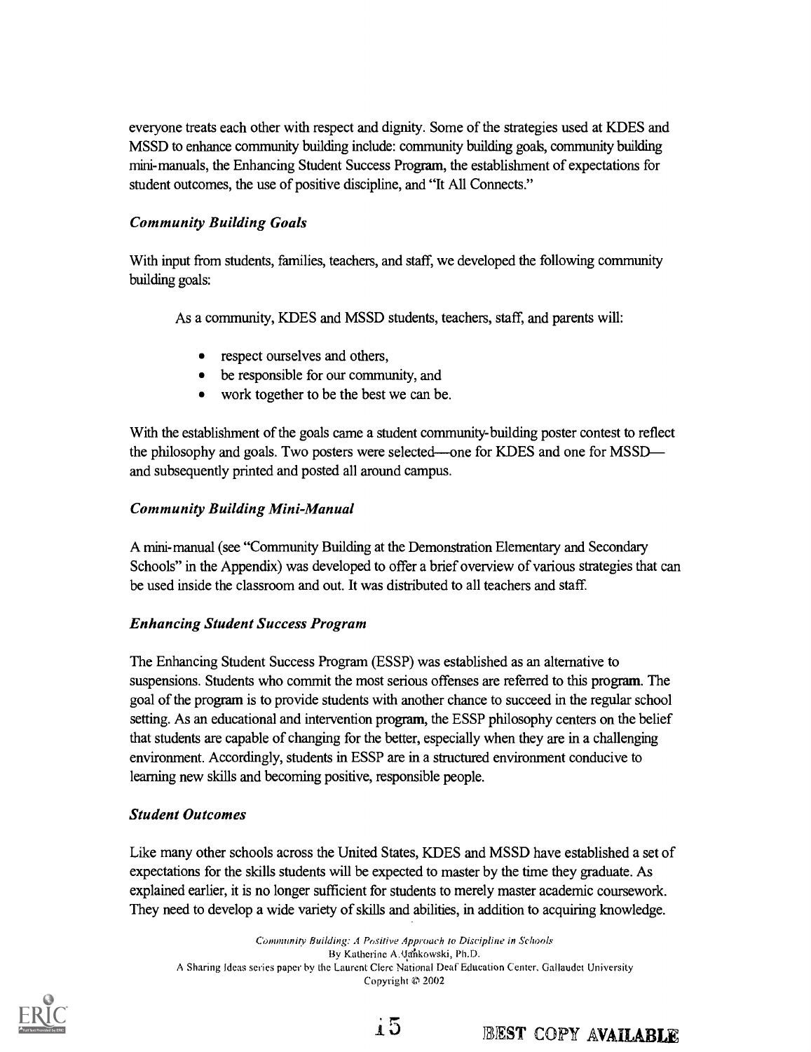everyone treats each other with respect and dignity. Some of the strategies used at KDES and MSSD to enhance community building include: community building goals, community building mini-manuals, the Enhancing Student Success Program, the establishment of expectations for student outcomes, the use of positive discipline, and "It All Connects."

#### Community Building Goals

With input from students, families, teachers, and staff, we developed the following community building goals:

As a community, KDES and MSSD students, teachers, staff, and parents will:

- respect ourselves and others,
- be responsible for our community, and
- work together to be the best we can be.

With the establishment of the goals came a student community-building poster contest to reflect the philosophy and goals. Two posters were selected-one for KDES and one for MSSDand subsequently printed and posted all around campus.

#### Community Building Mini-Manual

A mini-manual (see "Community Building at the Demonstration Elementary and Secondary Schools" in the Appendix) was developed to offer a brief overview of various strategies that can be used inside the classroom and out. It was distributed to all teachers and staff.

#### Enhancing Student Success Program

The Enhancing Student Success Program (ESSP) was established as an alternative to suspensions. Students who commit the most serious offenses are referred to this program. The goal of the program is to provide students with another chance to succeed in the regular school setting. As an educational and intervention program, the ESSP philosophy centers on the belief that students are capable of changing for the better, especially when they are in a challenging environment. Accordingly, students in ESSP are in a structured environment conducive to learning new skills and becoming positive, responsible people.

#### Student Outcomes

Like many other schools across the United States, KDES and MSSD have established a set of expectations for the skills students will be expected to master by the time they graduate. As explained earlier, it is no longer sufficient for students to merely master academic coursework. They need to develop a wide variety of skills and abilities, in addition to acquiring knowledge.

Community Building: A Positive Approach to Discipline in Schools By Katherine A-Uankowski, Ph.D. A Sharing Ideas series paper by the Laurent Clerc National Deaf Education Center, Gallaudet University Copyright @ 2002





# i5 BEST COPY AVAILABLE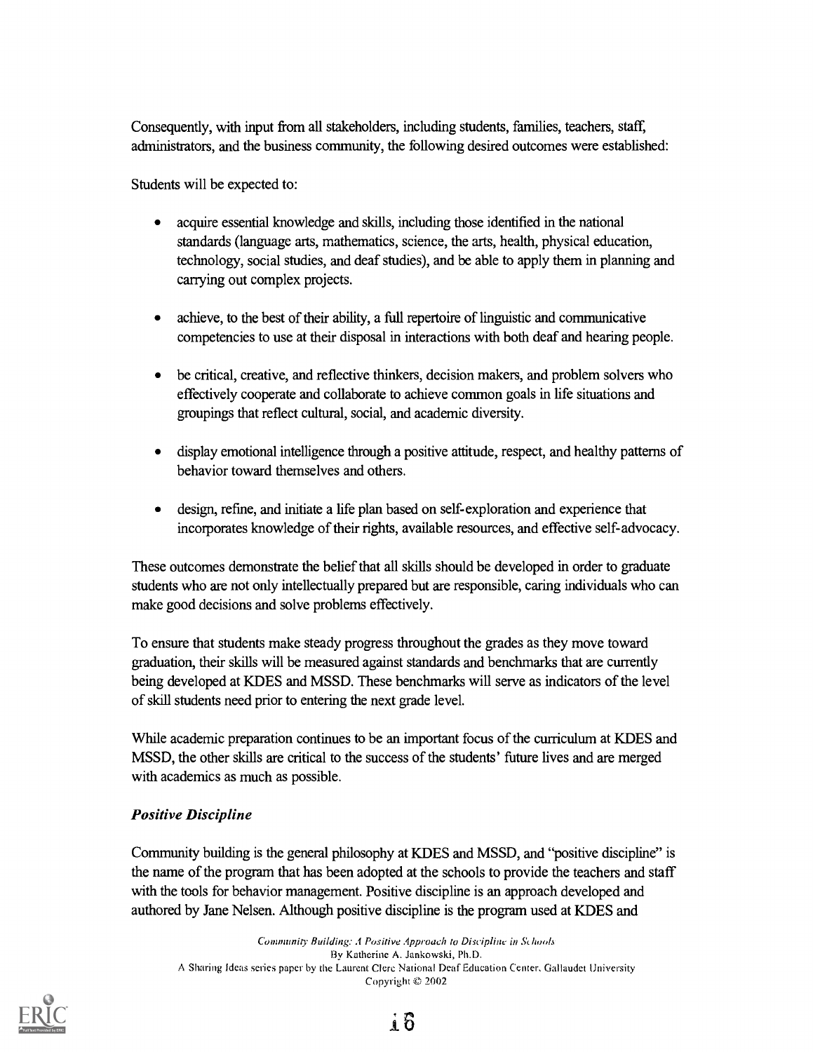Consequently, with input from all stakeholders, including students, families, teachers, staff; administrators, and the business community, the following desired outcomes were established:

Students will be expected to:

- acquire essential knowledge and skills, including those identified in the national  $\bullet$ standards (language arts, mathematics, science, the arts, health, physical education, technology, social studies, and deaf studies), and be able to apply them in planning and carrying out complex projects.
- achieve, to the best of their ability, a full repertoire of linguistic and communicative  $\bullet$ competencies to use at their disposal in interactions with both deaf and hearing people.
- be critical, creative, and reflective thinkers, decision makers, and problem solvers who effectively cooperate and collaborate to achieve common goals in life situations and groupings that reflect cultural, social, and academic diversity.
- display emotional intelligence through a positive attitude, respect, and healthy patterns of  $\bullet$ behavior toward themselves and others.
- design, refine, and initiate a life plan based on self-exploration and experience that  $\bullet$ incorporates knowledge of their rights, available resources, and effective self-advocacy.

These outcomes demonstrate the belief that all skills should be developed in order to graduate students who are not only intellectually prepared but are responsible, caring individuals who can make good decisions and solve problems effectively.

To ensure that students make steady progress throughout the grades as they move toward graduation, their skills will be measured against standards and benchmarks that are currently being developed at KDES and MSSD. These benchmarks will serve as indicators of the level of skill students need prior to entering the next grade level.

While academic preparation continues to be an important focus of the curriculum at KDES and MSSD, the other skills are critical to the success of the students' future lives and are merged with academics as much as possible.

#### Positive Discipline

Community building is the general philosophy at KDES and MSSD, and "positive discipline" is the name of the program that has been adopted at the schools to provide the teachers and staff with the tools for behavior management. Positive discipline is an approach developed and authored by Jane Nelsen. Although positive discipline is the program used at KDES and

Community Building: A Positive Approach to Discipline in Schools By Katherine A. Jankowski, Ph.D. A Sharing Ideas series paper by the Laurent Clerc National Deaf Education Center, Gallaudet University Copyright  $© 2002$ 

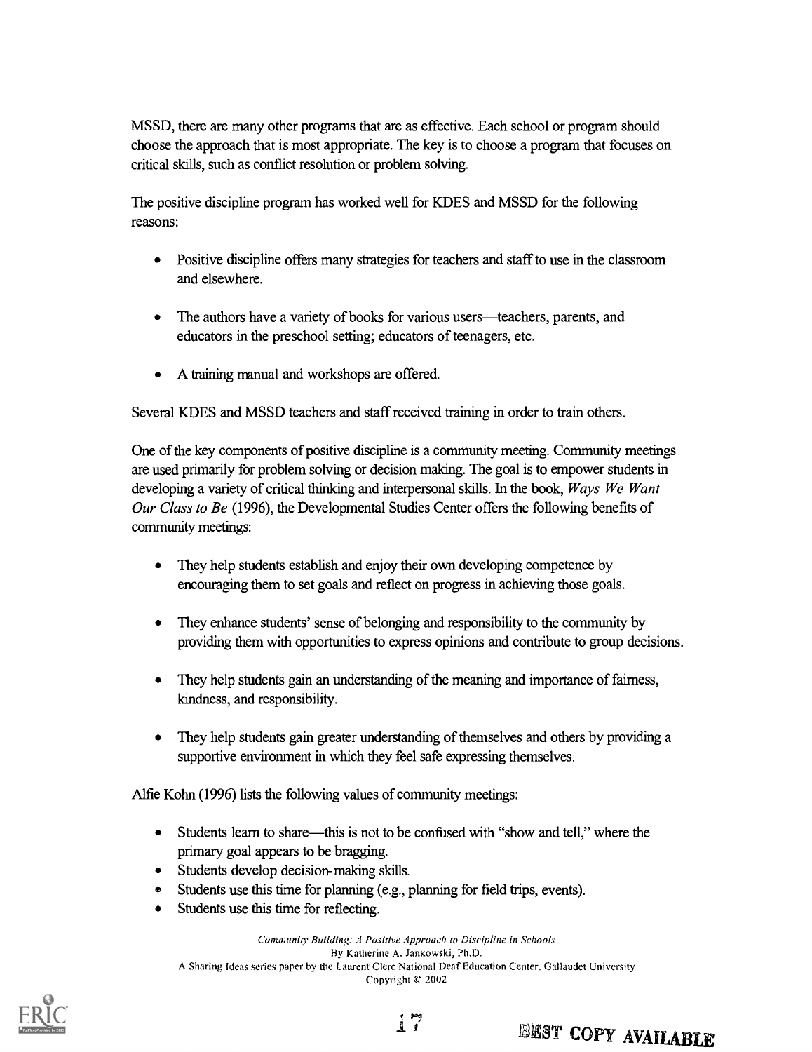MSSD, there are many other programs that are as effective. Each school or program should choose the approach that is most appropriate. The key is to choose a program that focuses on critical skills, such as conflict resolution or problem solving.

The positive discipline program has worked well for KDES and MSSD for the following reasons:

- Positive discipline offers many strategies for teachers and staff to use in the classroom and elsewhere.
- The authors have a variety of books for various users—teachers, parents, and  $\bullet$ educators in the preschool setting; educators of teenagers, etc.
- $\bullet$ A training manual and workshops are offered.

Several KDES and MSSD teachers and staff received training in order to train others.

One of the key components of positive discipline is a community meeting. Community meetings are used primarily for problem solving or decision making. The goal is to empower students in developing a variety of critical thinking and interpersonal skills. In the book, Ways We Want Our Class to Be (1996), the Developmental Studies Center offers the following benefits of community meetings:

- $\bullet$ They help students establish and enjoy their own developing competence by encouraging them to set goals and reflect on progress in achieving those goals.
- They enhance students' sense of belonging and responsibility to the community by  $\bullet$ providing them with opportunities to express opinions and contribute to group decisions.
- They help students gain an understanding of the meaning and importance of fairness,  $\bullet$ kindness, and responsibility.
- They help students gain greater understanding of themselves and others by providing a  $\bullet$ supportive environment in which they feel safe expressing themselves.

Alfie Kohn (1996) lists the following values of community meetings:

- $\bullet$ Students learn to share—this is not to be confused with "show and tell," where the primary goal appears to be bragging.
- Students develop decision-making skills.
- Students use this time for planning (e.g., planning for field trips, events).  $\bullet$
- Students use this time for reflecting.

Community Building: .1 Positive Approach to Discipline in Schools By Katherine A. Jankowski, Ph.D. A Sharing Ideas series paper by the Laurent Clere National Deaf Education Center, Gallaudet University Copyright  $© 2002$ 

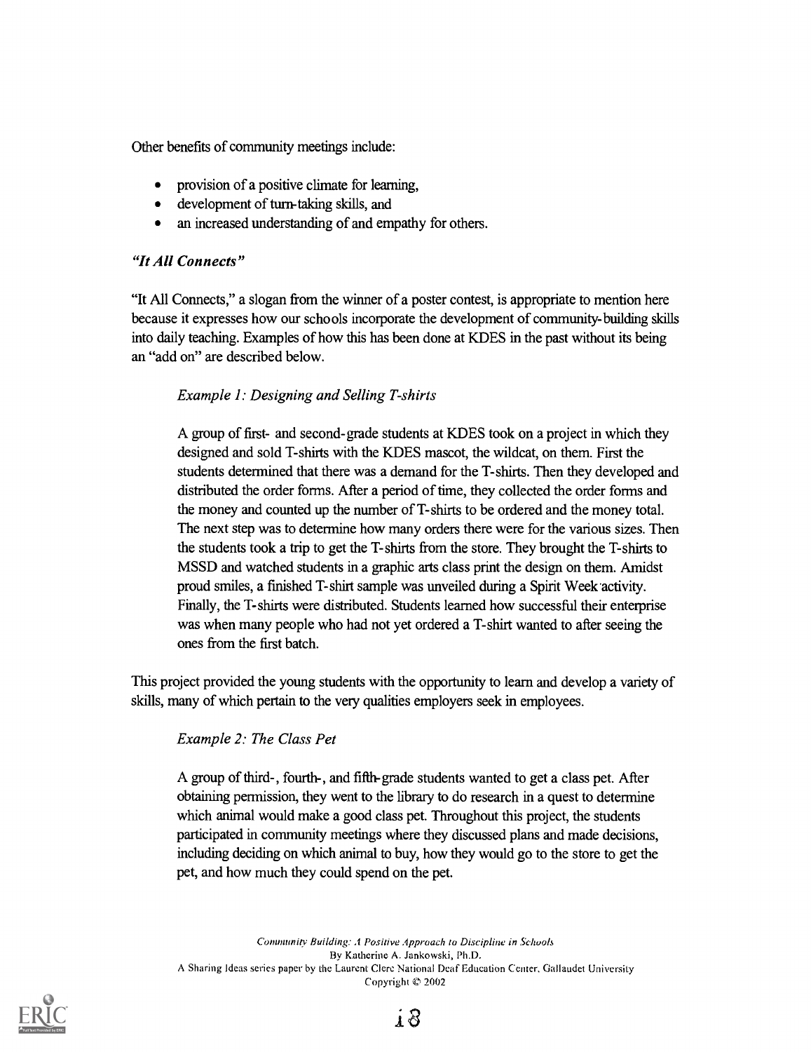Other benefits of community meetings include:

- provision of a positive climate for learning,
- development of turn-taking skills, and
- an increased understanding of and empathy for others.

#### "It All Connects"

"It All Connects," a slogan from the winner of a poster contest, is appropriate to mention here because it expresses how our schools incorporate the development of community-building skills into daily teaching. Examples of how this has been done at KDES in the past without its being an "add on" are described below.

#### Example 1: Designing and Selling T-shirts

A group of first- and second-grade students at KDES took on a project in which they designed and sold T-shirts with the KDES mascot, the wildcat, on them. First the students determined that there was a demand for the T-shirts. Then they developed and distributed the order forms. After a period of time, they collected the order forms and the money and counted up the number of T-shirts to be ordered and the money total. The next step was to determine how many orders there were for the various sizes. Then the students took a trip to get the T-shirts from the store. They brought the T-shirts to MSSD and watched students in a graphic arts class print the design on them. Amidst proud smiles, a finished T-shirt sample was unveiled during a Spirit Week activity. Finally, the T-shirts were distributed. Students learned how successful their enterprise was when many people who had not yet ordered a T-shirt wanted to after seeing the ones from the first batch.

This project provided the young students with the opportunity to learn and develop a variety of skills, many of which pertain to the very qualities employers seek in employees.

#### Example 2: The Class Pet

A group of third-, fourth-, and fifth-grade students wanted to get a class pet. After obtaining permission, they went to the library to do research in a quest to determine which animal would make a good class pet. Throughout this project, the students participated in community meetings where they discussed plans and made decisions, including deciding on which animal to buy, how they would go to the store to get the pet, and how much they could spend on the pet.

Community Building: A Positive Approach to Discipline in Schools By Katherine A. Jankowski, Ph.D. A Sharing Ideas series paper by the Laurent Clere National Deaf Education Center, Gallaudet University Copyright  $© 2002$ 

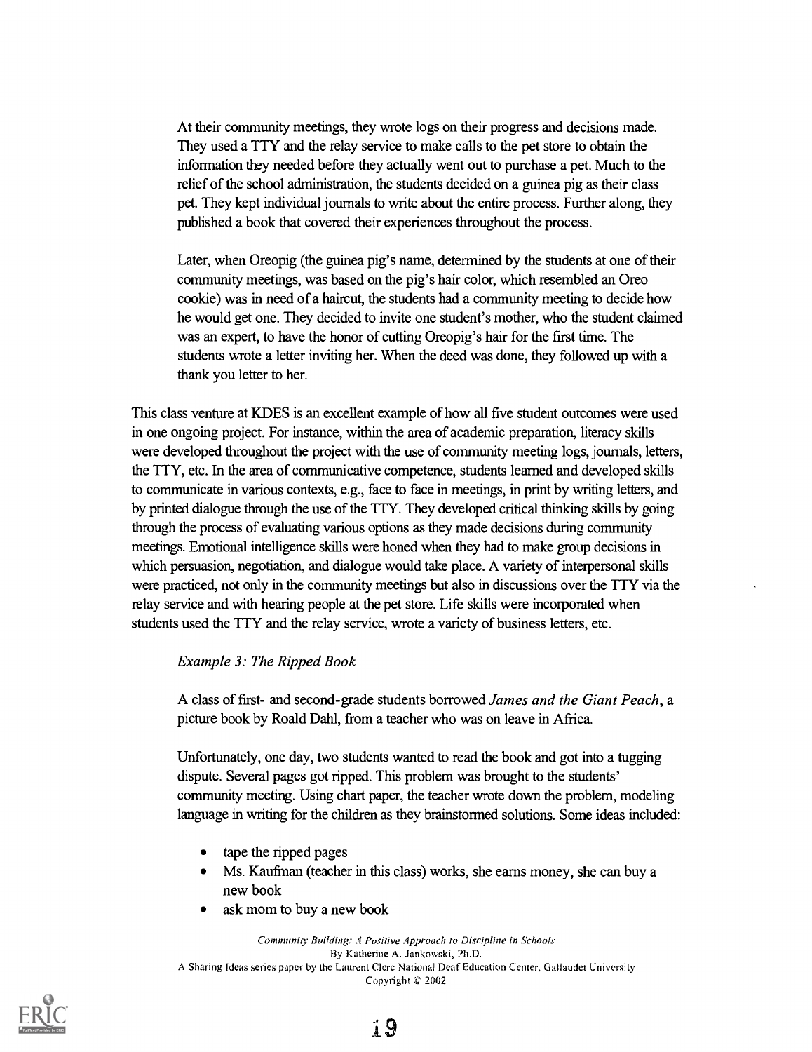At their community meetings, they wrote logs on their progress and decisions made. They used a TTY and the relay service to make calls to the pet store to obtain the information they needed before they actually went out to purchase a pet. Much to the relief of the school administration, the students decided on a guinea pig as their class pet. They kept individual journals to write about the entire process. Further along, they published a book that covered their experiences throughout the process.

Later, when Oreopig (the guinea pig's name, determined by the students at one of their community meetings, was based on the pig's hair color, which resembled an Oreo cookie) was in need of a haircut, the students had a community meeting to decide how he would get one. They decided to invite one student's mother, who the student claimed was an expert, to have the honor of cutting Oreopig's hair for the first time. The students wrote a letter inviting her. When the deed was done, they followed up with a thank you letter to her.

This class venture at KDES is an excellent example of how all five student outcomes were used in one ongoing project. For instance, within the area of academic preparation, literacy skills were developed throughout the project with the use of community meeting logs, journals, letters, the TTY, etc. In the area of communicative competence, students learned and developed skills to communicate in various contexts, e.g., face to face in meetings, in print by writing letters, and by printed dialogue through the use of the TTY. They developed critical thinking skills by going through the process of evaluating various options as they made decisions during community meetings. Emotional intelligence skills were honed when they had to make group decisions in which persuasion, negotiation, and dialogue would take place. A variety of interpersonal skills were practiced, not only in the community meetings but also in discussions over the TTY via the relay service and with hearing people at the pet store. Life skills were incorporated when students used the TTY and the relay service, wrote a variety of business letters, etc.

#### Example 3: The Ripped Book

A class of first- and second-grade students borrowed James and the Giant Peach, a picture book by Roald Dahl, from a teacher who was on leave in Africa.

Unfortunately, one day, two students wanted to read the book and got into a tugging dispute. Several pages got ripped. This problem was brought to the students' community meeting. Using chart paper, the teacher wrote down the problem, modeling language in writing for the children as they brainstormed solutions. Some ideas included:

- $\bullet$ tape the ripped pages
- Ms. Kaufman (teacher in this class) works, she earns money, she can buy a new book
- ask mom to buy a new book  $\bullet$

Community Building: A Positive Approach to Discipline in Schools By Katherine A. Jankowski, Ph.D. A Sharing Ideas series paper by the Laurent Clere National Deaf Education Center, Gallaudet University Copyright © 2002

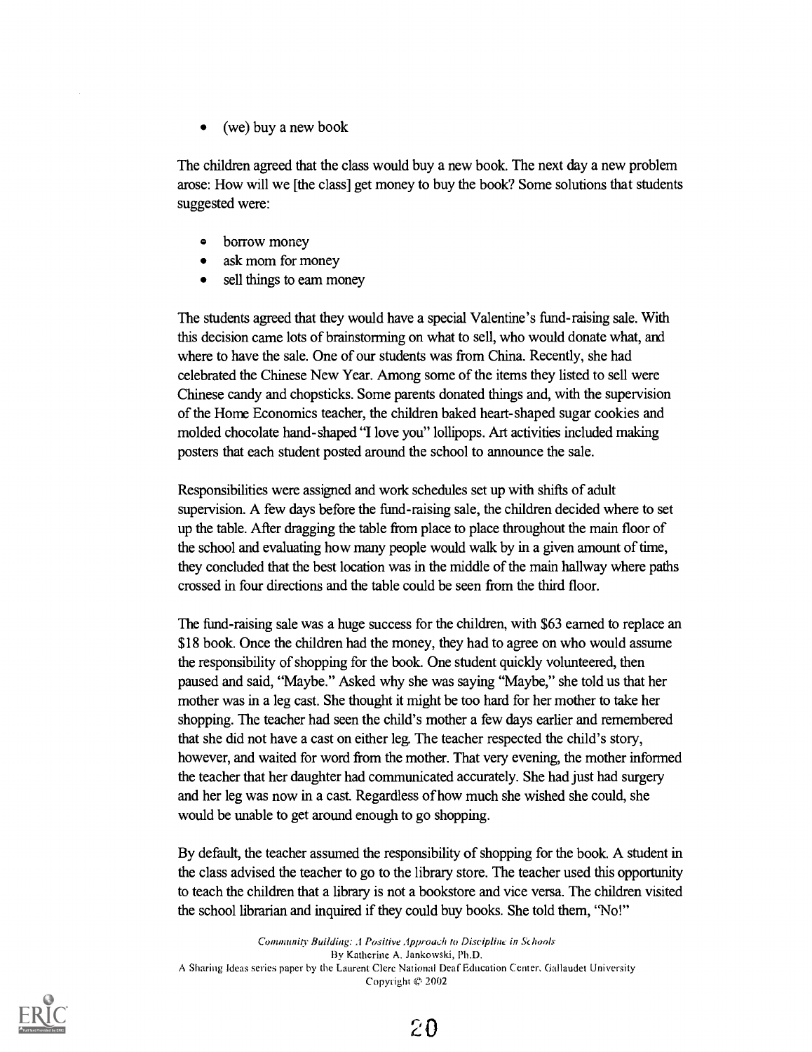(we) buy a new book

The children agreed that the class would buy a new book. The next day a new problem arose: How will we [the class] get money to buy the book? Some solutions that students suggested were:

- $\bullet$ borrow money
- ask mom for money  $\bullet$
- sell things to eam money  $\bullet$

The students agreed that they would have a special Valentine's fund-raising sale. With this decision came lots of brainstorming on what to sell, who would donate what, and where to have the sale. One of our students was from China. Recently, she had celebrated the Chinese New Year. Among some of the items they listed to sell were Chinese candy and chopsticks. Some parents donated things and, with the supervision of the Home Economics teacher, the children baked heart-shaped sugar cookies and molded chocolate hand-shaped "I love you" lollipops. Art activities included making posters that each student posted around the school to announce the sale.

Responsibilities were assigned and work schedules set up with shifts of adult supervision. A few days before the fund-raising sale, the children decided where to set up the table. After dragging the table from place to place throughout the main floor of the school and evaluating how many people would walk by in a given amount of time, they concluded that the best location was in the middle of the main hallway where paths crossed in four directions and the table could be seen from the third floor.

The fund-raising sale was a huge success for the children, with \$63 earned to replace an \$18 book. Once the children had the money, they had to agree on who would assume the responsibility of shopping for the book. One student quickly volunteered, then paused and said, "Maybe." Asked why she was saying "Maybe," she told us that her mother was in a leg cast. She thought it might be too hard for her mother to take her shopping. The teacher had seen the child's mother a few days earlier and remembered that she did not have a cast on either leg. The teacher respected the child's story, however, and waited for word from the mother. That very evening, the mother informed the teacher that her daughter had communicated accurately. She had just had surgery and her leg was now in a cast. Regardless of how much she wished she could, she would be unable to get around enough to go shopping.

By default, the teacher assumed the responsibility of shopping for the book. A student in the class advised the teacher to go to the library store. The teacher used this opportunity to teach the children that a library is not a bookstore and vice versa. The children visited the school librarian and inquired if they could buy books. She told them, "No!"

Community Building: .1 Positive Approach to Discipline in Schools By Katherine A. Jankowski, Ph.D. A Sharing Ideas series paper by the Laurent Clere National Deal Education Center, Callaudet University Copyright © 2002

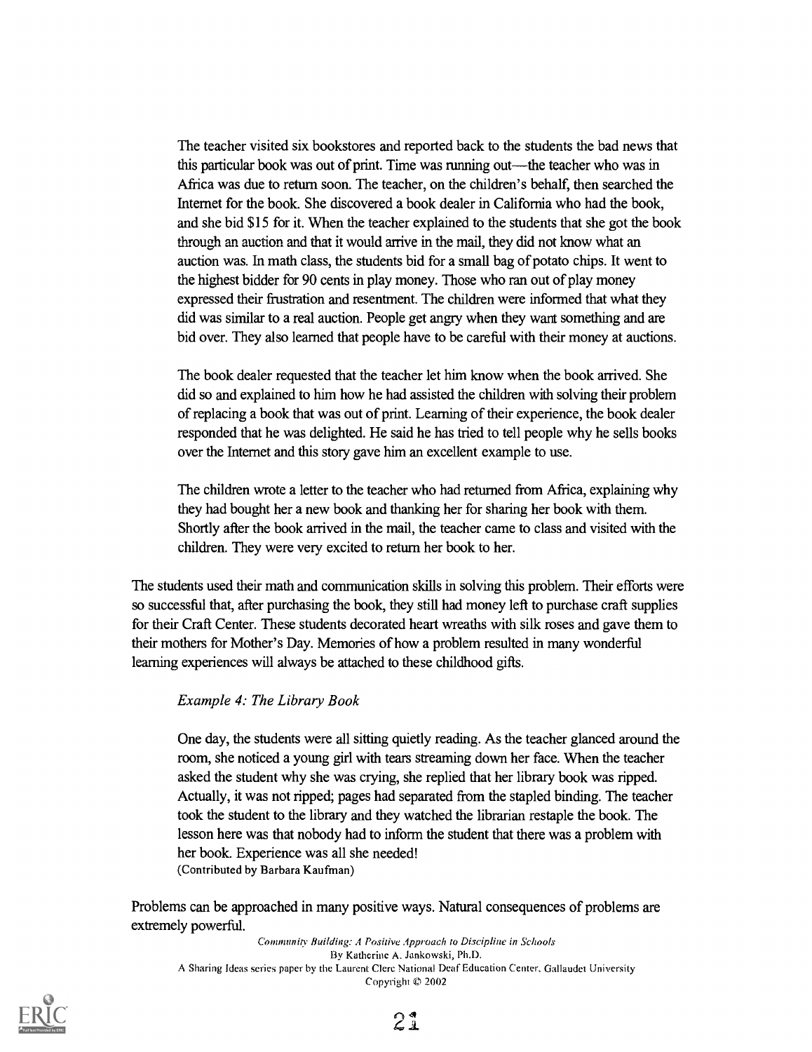The teacher visited six bookstores and reported back to the students the bad news that this particular book was out of print. Time was running out—the teacher who was in Africa was due to return soon. The teacher, on the children's behalf, then searched the Internet for the book. She discovered a book dealer in California who had the book, and she bid \$15 for it. When the teacher explained to the students that she got the book through an auction and that it would arrive in the mail, they did not know what an auction was. In math class, the students bid for a small bag of potato chips. It went to the highest bidder for 90 cents in play money. Those who ran out of play money expressed their frustration and resentment. The children were informed that what they did was similar to a real auction. People get angry when they want something and are bid over. They also learned that people have to be careful with their money at auctions.

The book dealer requested that the teacher let him know when the book arrived. She did so and explained to him how he had assisted the children with solving their problem of replacing a book that was out of print. Learning of their experience, the book dealer responded that he was delighted. He said he has tried to tell people why he sells books over the Internet and this story gave him an excellent example to use.

The children wrote a letter to the teacher who had returned from Africa, explaining why they had bought her a new book and thanking her for sharing her book with them. Shortly after the book arrived in the mail, the teacher came to class and visited with the children. They were very excited to return her book to her.

The students used their math and communication skills in solving this problem. Their efforts were so successful that, after purchasing the book, they still had money left to purchase craft supplies for their Craft Center. These students decorated heart wreaths with silk roses and gave them to their mothers for Mother's Day. Memories of how a problem resulted in many wonderful learning experiences will always be attached to these childhood gifts.

#### Example 4: The Library Book

One day, the students were all sitting quietly reading. As the teacher glanced around the room, she noticed a young girl with tears streaming down her face. When the teacher asked the student why she was crying, she replied that her library book was ripped. Actually, it was not ripped; pages had separated from the stapled binding. The teacher took the student to the library and they watched the librarian restaple the book. The lesson here was that nobody had to inform the student that there was a problem with her book. Experience was all she needed! (Contributed by Barbara Kaufman)

Problems can be approached in many positive ways. Natural consequences of problems are extremely powerful.

Community Building: A Positive Approach to Discipline in Schools By Katherine A. Jankowski, Ph.D. A Sharing Ideas series paper by the Laurent Clerc National Deaf Education Center, Gallaudet University Copyright  $© 2002$ 

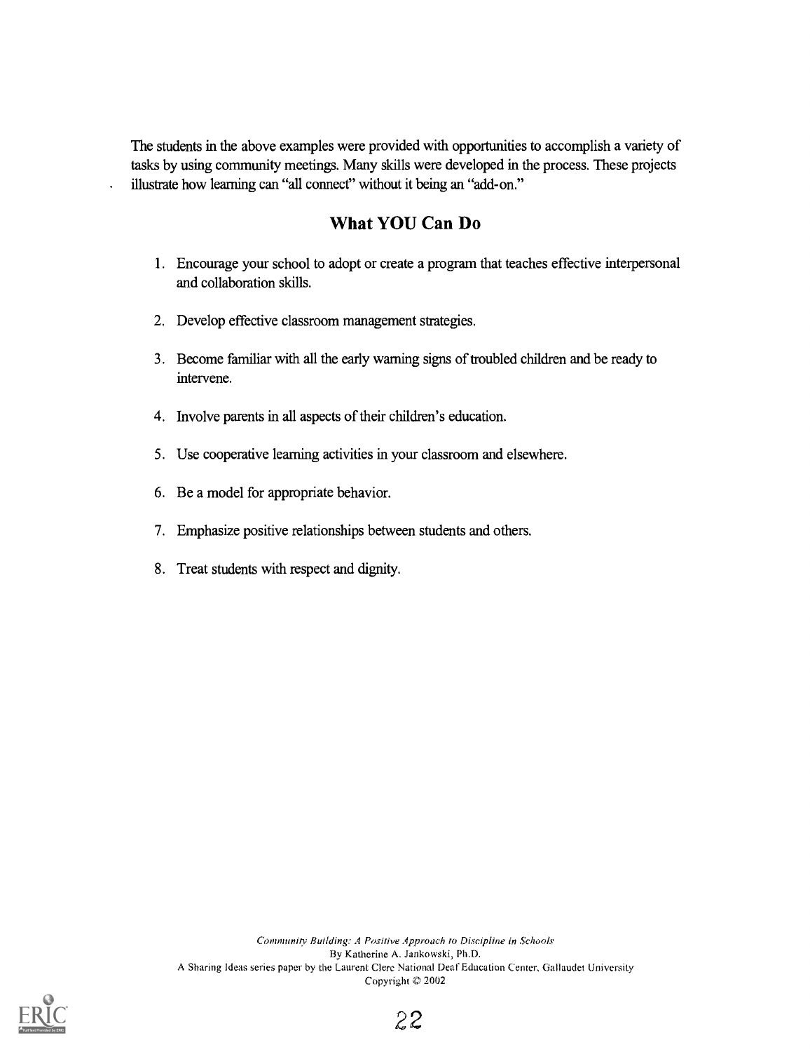The students in the above examples were provided with opportunities to accomplish a variety of tasks by using community meetings. Many skills were developed in the process. These projects illustrate how learning can "all connect" without it being an "add-on."

## What YOU Can Do

- 1. Encourage your school to adopt or create a program that teaches effective interpersonal and collaboration skills.
- 2. Develop effective classroom management strategies.
- 3. Become familiar with all the early warning signs of troubled children and be ready to intervene.
- 4. Involve parents in all aspects of their children's education.
- 5. Use cooperative learning activities in your classroom and elsewhere.
- 6. Be a model for appropriate behavior.
- 7. Emphasize positive relationships between students and others.
- 8. Treat students with respect and dignity.

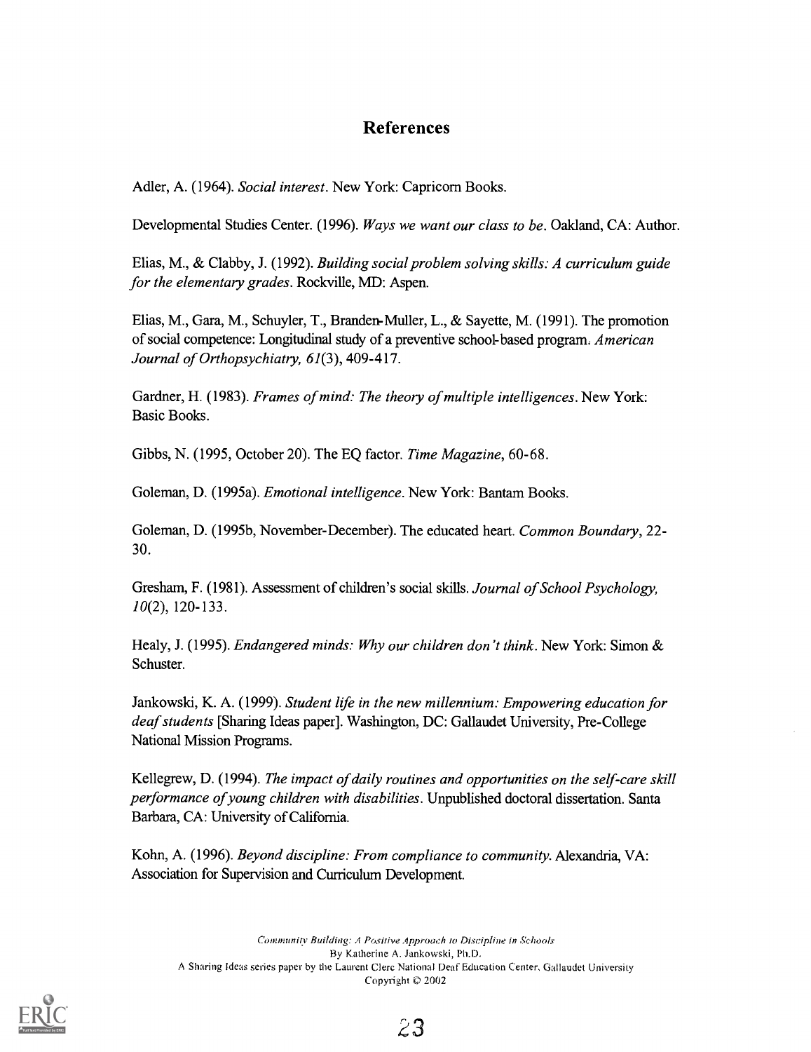### References

Adler, A. (1964). Social interest. New York: Capricorn Books.

Developmental Studies Center. (1996). Ways we want our class to be. Oakland, CA: Author.

Elias, M., & Clabby, J. (1992). Building social problem solving skills: A curriculum guide for the elementary grades. Rockville, MD: Aspen.

Elias, M., Gara, M., Schuyler, T., Branden-Muller, L., & Sayette, M. (1991). The promotion of social competence: Longitudinal study of a preventive school-based program. American Journal of Orthopsychiatry, 61(3), 409-417.

Gardner, H. (1983). Frames of mind: The theory of multiple intelligences. New York: Basic Books.

Gibbs, N. (1995, October 20). The EQ factor. Time Magazine, 60-68.

Goleman, D. (1995a). Emotional intelligence. New York: Bantam Books.

Goleman, D. (1995b, November-December). The educated heart. Common Boundary, 22- 30.

Gresham, F. (1981). Assessment of children's social skills. Journal of School Psychology, 10(2), 120-133.

Healy, J. (1995). Endangered minds: Why our children don't think. New York: Simon & Schuster.

Jankowski, K. A. (1999). Student life in the new millennium: Empowering education for deaf students [Sharing Ideas paper]. Washington, DC: Gallaudet University, Pre-College National Mission Programs.

Kellegrew, D. (1994). The impact of daily routines and opportunities on the self-care skill performance of young children with disabilities. Unpublished doctoral dissertation. Santa Barbara, CA: University of California.

Kohn, A. (1996). Beyond discipline: From compliance to community. Alexandria, VA: Association for Supervision and Curriculum Development.

Community Building: A Positive Approach to Discipline in Schools By Katherine A. Jankowski, Ph.D. A Sharing Ideas series paper by the Laurent Clere National Deaf Education Center, Ciallaudet University Copyright © 2002



23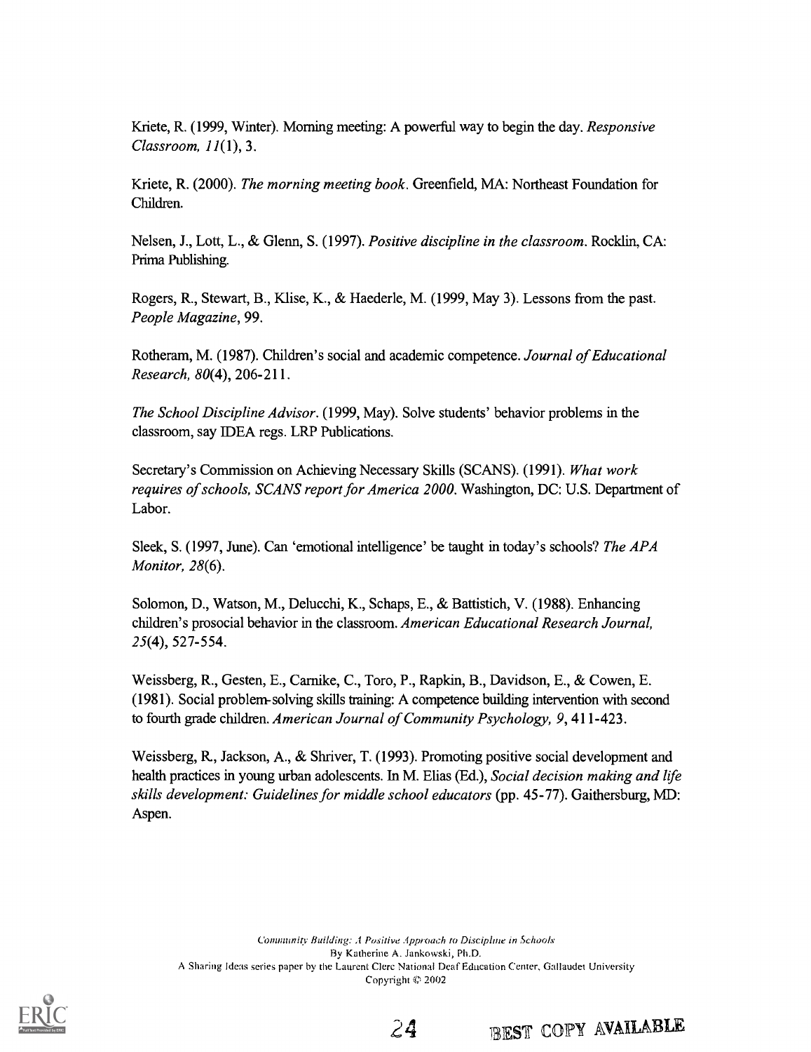Kriete, R. (1999, Winter). Morning meeting: A powerful way to begin the day. Responsive Classroom, 11(1), 3.

Kriete, R. (2000). The morning meeting book. Greenfield, MA: Northeast Foundation for Children.

Nelsen, J., Lott, L., & Glenn, S. (1997). Positive discipline in the classroom. Rocklin, CA: Prima Publishing.

Rogers, R., Stewart, B., Klise, K., & Haederle, M. (1999, May 3). Lessons from the past. People Magazine, 99.

Rotheram, M. (1987). Children's social and academic competence. Journal of Educational Research, 80(4), 206-211.

The School Discipline Advisor. (1999, May). Solve students' behavior problems in the classroom, say IDEA regs. LRP Publications.

Secretary's Commission on Achieving Necessary Skills (SCANS). (1991). What work requires of schools, SCANS report for America 2000. Washington, DC: U.S. Department of Labor.

Sleek, S. (1997, June). Can 'emotional intelligence' be taught in today's schools? The APA Monitor, 28(6).

Solomon, D., Watson, M., Delucchi, K., Schaps, E., & Battistich, V. (1988). Enhancing children's prosocial behavior in the classroom. American Educational Research Journal, 25(4), 527-554.

Weissberg, R., Gesten, E., Carnike, C., Toro, P., Rapkin, B., Davidson, E., & Cowen, E. (1981). Social problem-solving skills training: A competence building intervention with second to fourth grade children. American Journal of Community Psychology, 9, 411-423.

Weissberg, R, Jackson, A., & Shriver, T. (1993). Promoting positive social development and health practices in young urban adolescents. In M. Elias (Ed.), Social decision making and life skills development: Guidelines for middle school educators (pp. 45-77). Gaithersburg, MD: Aspen.

Community Building: A Positive Approach to Discipline in Schools By Katherine A. Jankowski, Ph.D. A Sharing Ideas series paper by the Laurent Clerc National Deaf Education Center, Ciallaudet University Copyright © 2002



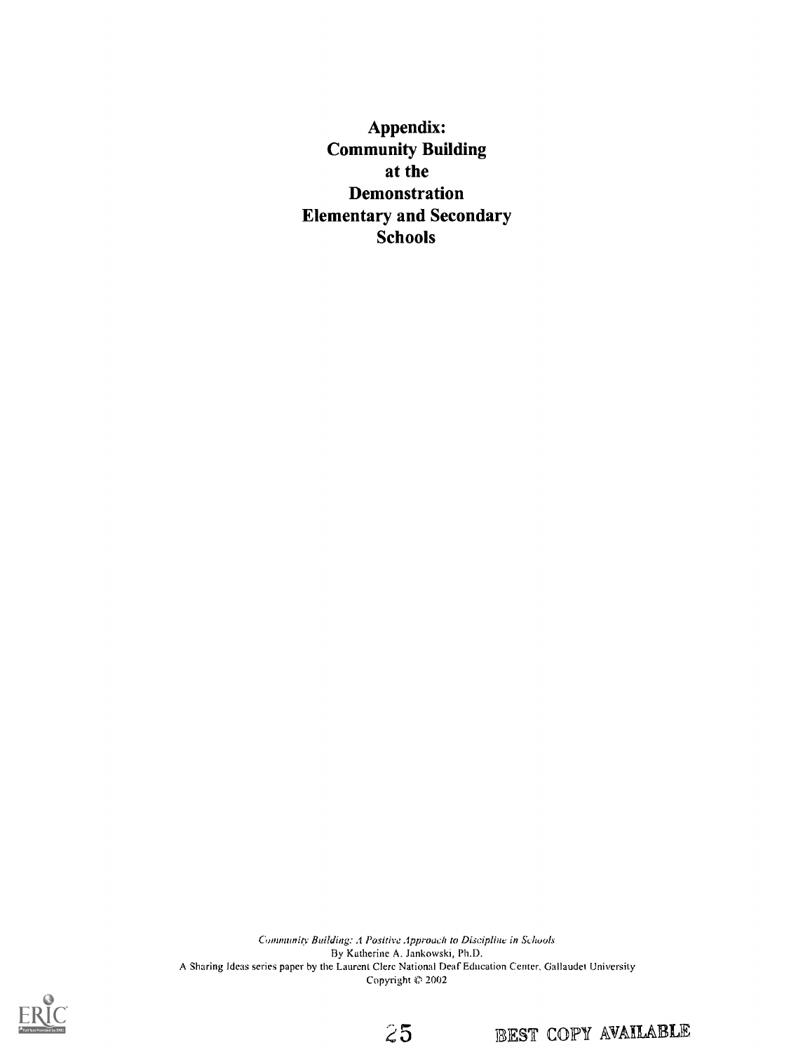Appendix: Community Building at the Demonstration Elementary and Secondary Schools

Community Building: A Positive Approach to Discipline in Schools By Katherine A. Jankowski, Ph.D. A Sharing Ideas series paper by the Laurent Clerc National Deaf Education Center, Gallaudet University Copyright  $© 2002$ 





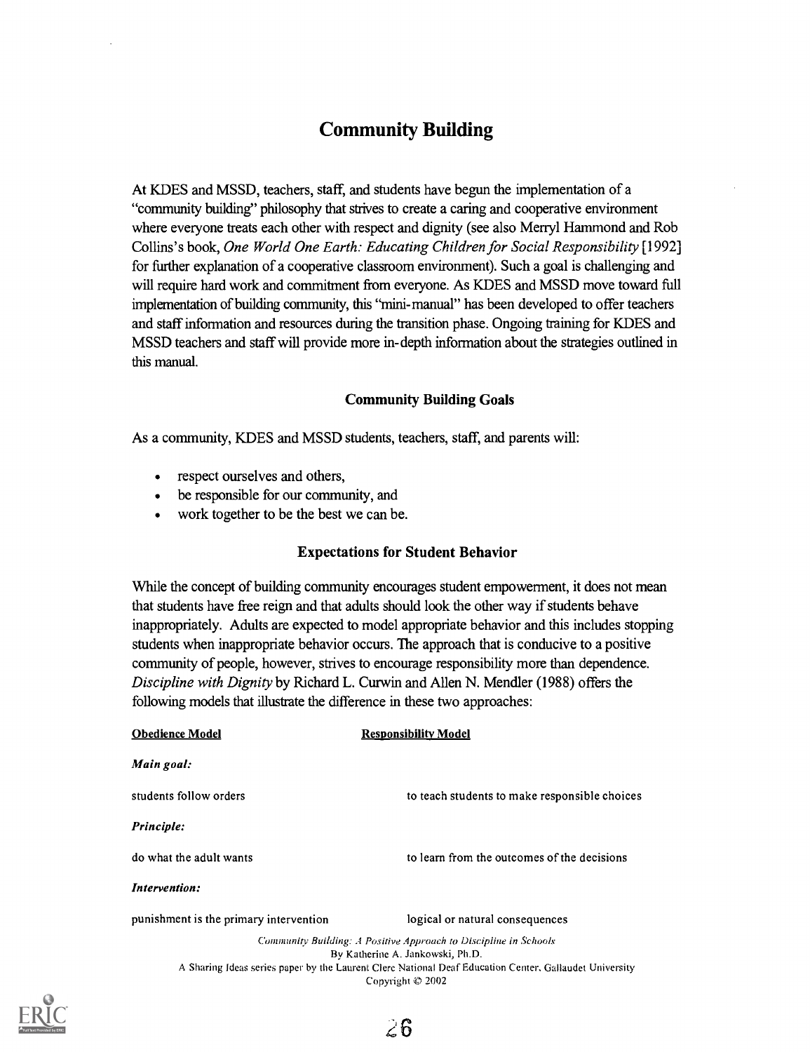## Community Building

At KDES and MSSD, teachers, staff, and students have begun the implementation of a "community building" philosophy that strives to create a caring and cooperative environment where everyone treats each other with respect and dignity (see also Merryl Hammond and Rob Collins's book, One World One Earth: Educating Children for Social Responsibility [1992] for further explanation of a cooperative classroom environment). Such a goal is challenging and will require hard work and commitment from everyone. As KDES and MSSD move toward full implementation of building community, this "mini-manual" has been developed to offer teachers and staff information and resources during the transition phase. Ongoing training for KDES and MSSD teachers and staff will provide more in-depth information about the strategies outlined in this manual.

#### Community Building Goals

As a community, KDES and MSSD students, teachers, staff, and parents will:

- respect ourselves and others,
- be responsible for our community, and
- work together to be the best we can be.

#### Expectations for Student Behavior

While the concept of building community encourages student empowerment, it does not mean that students have free reign and that adults should look the other way if students behave inappropriately. Adults are expected to model appropriate behavior and this includes stopping students when inappropriate behavior occurs. The approach that is conducive to a positive community of people, however, strives to encourage responsibility more than dependence. Discipline with Dignity by Richard L. Curwin and Allen N. Mendler (1988) offers the following models that illustrate the difference in these two approaches:

| <b>Obedience Model</b>                 | <b>Responsibility Model</b>                                                                            |
|----------------------------------------|--------------------------------------------------------------------------------------------------------|
| Main goal:                             |                                                                                                        |
| students follow orders                 | to teach students to make responsible choices                                                          |
| Principle:                             |                                                                                                        |
| do what the adult wants                | to learn from the outcomes of the decisions                                                            |
| Intervention:                          |                                                                                                        |
| punishment is the primary intervention | logical or natural consequences                                                                        |
|                                        | Community Building: A Positive Approach to Discipline in Schools                                       |
|                                        | By Katherine A. Jankowski, Ph.D.                                                                       |
|                                        | A Sharing Ideas series paper by the Laurent Clerc National Deaf Education Center, Gallaudet University |
|                                        | Copyright $\otimes$ 2002                                                                               |

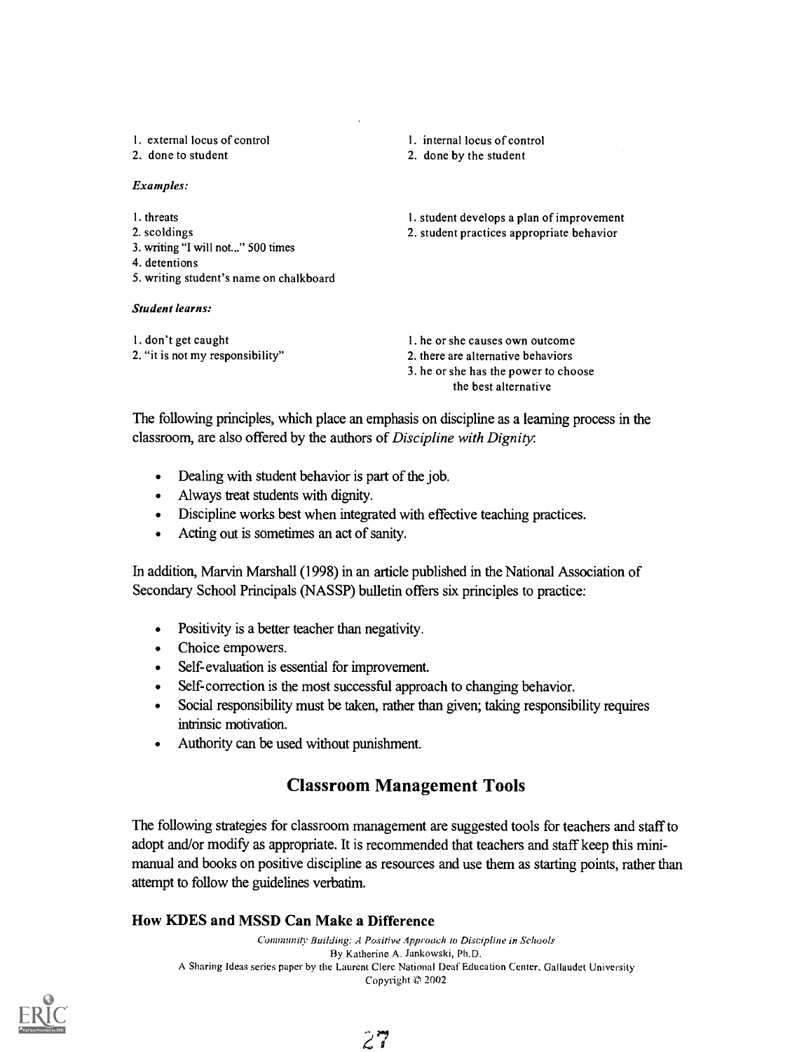| 1. external locus of control<br>2. done to student                                                                                                    | 1. internal locus of control<br>2. done by the student                                                        |
|-------------------------------------------------------------------------------------------------------------------------------------------------------|---------------------------------------------------------------------------------------------------------------|
| Examples:                                                                                                                                             |                                                                                                               |
| 1. threats<br>2. scoldings<br>3. writing "I will not" 500 times<br>4. detentions<br>5. writing student's name on chalkboard<br><b>Student learns:</b> | 1. student develops a plan of improvement<br>2. student practices appropriate behavior                        |
| 1. don't get caught<br>2. "it is not my responsibility"                                                                                               | 1, he or she causes own outcome<br>2. there are alternative behaviors<br>3. he or she has the power to choose |

The following principles, which place an emphasis on discipline as a learning process in the classroom, are also offered by the authors of Discipline with Dignity:

the best alternative

- Dealing with student behavior is part of the job.
- Always treat students with dignity.  $\bullet$
- Discipline works best when integrated with effective teaching practices.  $\bullet$
- Acting out is sometimes an act of sanity.  $\bullet$

In addition, Marvin Marshall (1998) in an article published in the National Association of Secondary School Principals (NASSP) bulletin offers six principles to practice:

- Positivity is a better teacher than negativity.  $\bullet$
- Choice empowers.
- Self-evaluation is essential for improvement.
- Self-correction is the most successful approach to changing behavior.
- Social responsibility must be taken, rather than given; taking responsibility requires intrinsic motivation.
- Authority can be used without punishment.

### Classroom Management Tools

The following strategies for classroom management are suggested tools for teachers and staff to adopt and/or modify as appropriate. It is recommended that teachers and staff keep this minimanual and books on positive discipline as resources and use them as starting points, rather than attempt to follow the guidelines verbatim.

#### How KDES and MSSD Can Make a Difference

Community Building: A Positive Approach to Discipline in Schools By Katherine A. Jankowski, Ph.D. A Sharing Ideas series paper by the Laurent Clerc National Deaf Education Center, Gallaudet University Copyright  $© 2002$ 

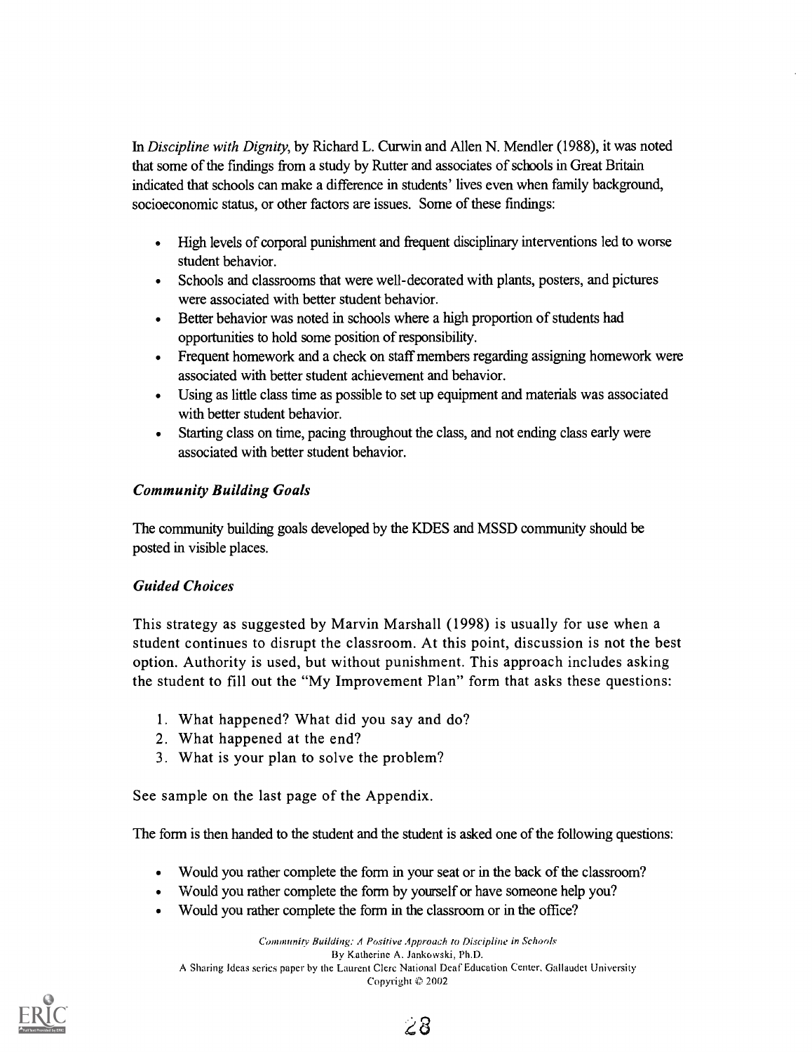In Discipline with Dignity, by Richard L. Curwin and Allen N. Mendler (1988), it was noted that some of the findings from a study by Rutter and associates of schools in Great Britain indicated that schools can make a difference in students' lives even when family background, socioeconomic status, or other factors are issues. Some of these findings:

- High levels of corporal punishment and frequent disciplinary interventions led to worse student behavior.
- Schools and classrooms that were well-decorated with plants, posters, and pictures were associated with better student behavior.
- Better behavior was noted in schools where a high proportion of students had opportunities to hold some position of responsibility.
- Frequent homework and a check on staff members regarding assigning homework were associated with better student achievement and behavior.
- Using as little class time as possible to set up equipment and materials was associated with better student behavior.
- Starting class on time, pacing throughout the class, and not ending class early were associated with better student behavior.

#### Community Building Goals

The community building goals developed by the KDES and MSSD community should be posted in visible places.

#### Guided Choices

This strategy as suggested by Marvin Marshall (1998) is usually for use when a student continues to disrupt the classroom. At this point, discussion is not the best option. Authority is used, but without punishment. This approach includes asking the student to fill out the "My Improvement Plan" form that asks these questions:

- 1. What happened? What did you say and do?
- 2. What happened at the end?
- 3. What is your plan to solve the problem?

See sample on the last page of the Appendix.

The form is then handed to the student and the student is asked one of the following questions:

- Would you rather complete the form in your seat or in the back of the classroom?
- Would you rather complete the form by yourself or have someone help you?
- Would you rather complete the form in the classroom or in the office?

Community Building: A Positive Approach to Discipline in Schools By Katherine A. Jankowski, Ph.D. A Sharing Ideas series paper by the Laurent Clerc National Deaf Education Center, Gallaudet University Copyright  $\oslash$  2002



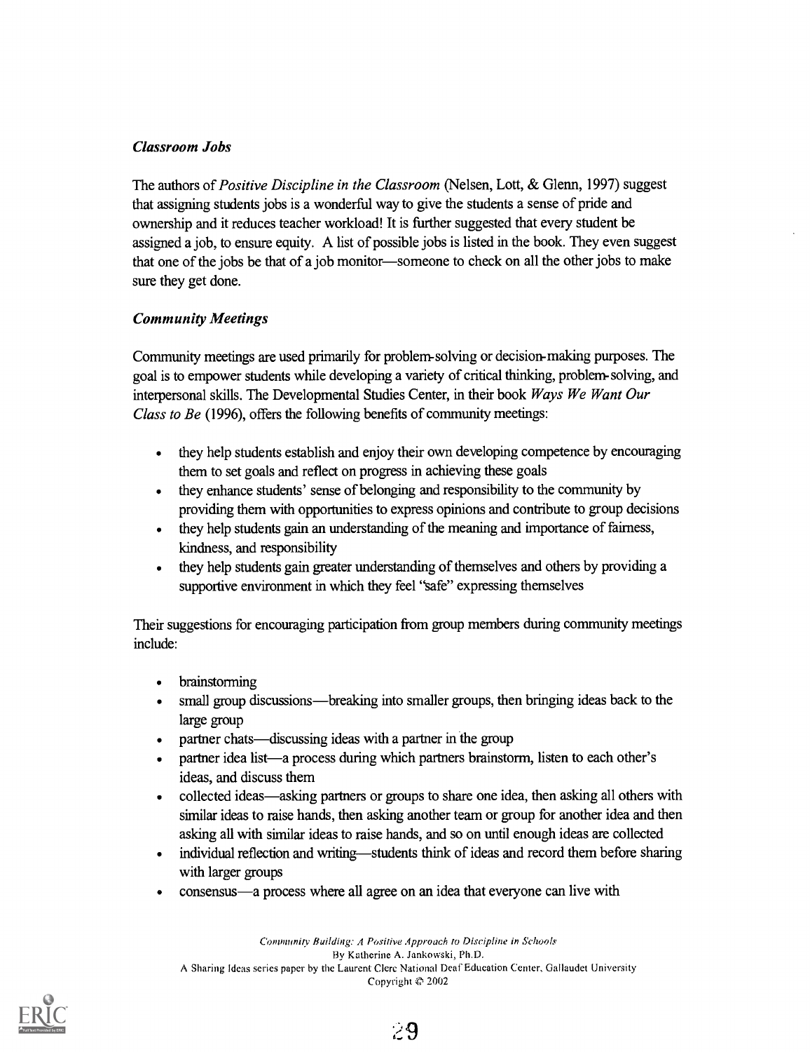#### Classroom Jobs

The authors of Positive Discipline in the Classroom (Nelsen, Lott, & Glenn, 1997) suggest that assigning students jobs is a wonderful way to give the students a sense of pride and ownership and it reduces teacher workload! It is further suggested that every student be assigned a job, to ensure equity. A list of possible jobs is listed in the book. They even suggest that one of the jobs be that of a job monitor—someone to check on all the other jobs to make sure they get done.

#### Community Meetings

Community meetings are used primarily for problem-solving or decision-making purposes. The goal is to empower students while developing a variety of critical thinking, problem-solving, and interpersonal skills. The Developmental Studies Center, in their book Ways We Want Our Class to Be (1996), offers the following benefits of community meetings:

- they help students establish and enjoy their own developing competence by encouraging them to set goals and reflect on progress in achieving these goals
- they enhance students' sense of belonging and responsibility to the community by providing them with opportunities to express opinions and contribute to group decisions
- they help students gain an understanding of the meaning and importance of fairness, kindness, and responsibility
- they help students gain greater understanding of themselves and others by providing a  $\bullet$ supportive environment in which they feel "safe" expressing themselves

Their suggestions for encouraging participation from group members during community meetings include:

- brainstorming  $\blacksquare$
- small group discussions—breaking into smaller groups, then bringing ideas back to the large group
- partner chats—discussing ideas with a partner in the group
- partner idea list—a process during which partners brainstorm, listen to each other's ideas, and discuss them
- collected ideas—asking partners or groups to share one idea, then asking all others with similar ideas to raise hands, then asking another team or group for another idea and then asking all with similar ideas to raise hands, and so on until enough ideas are collected
- individual reflection and writing—students think of ideas and record them before sharing  $\bullet$ with larger groups
- consensus—a process where all agree on an idea that everyone can live with  $\bullet$

Community Building: A Positive Approach to Discipline in Schools By Katherine A. Jankowski, Ph.D. A Sharing Ideas series paper by the Laurent Clerc National Deaf Education Center, Gallaudet University Copyright 2002

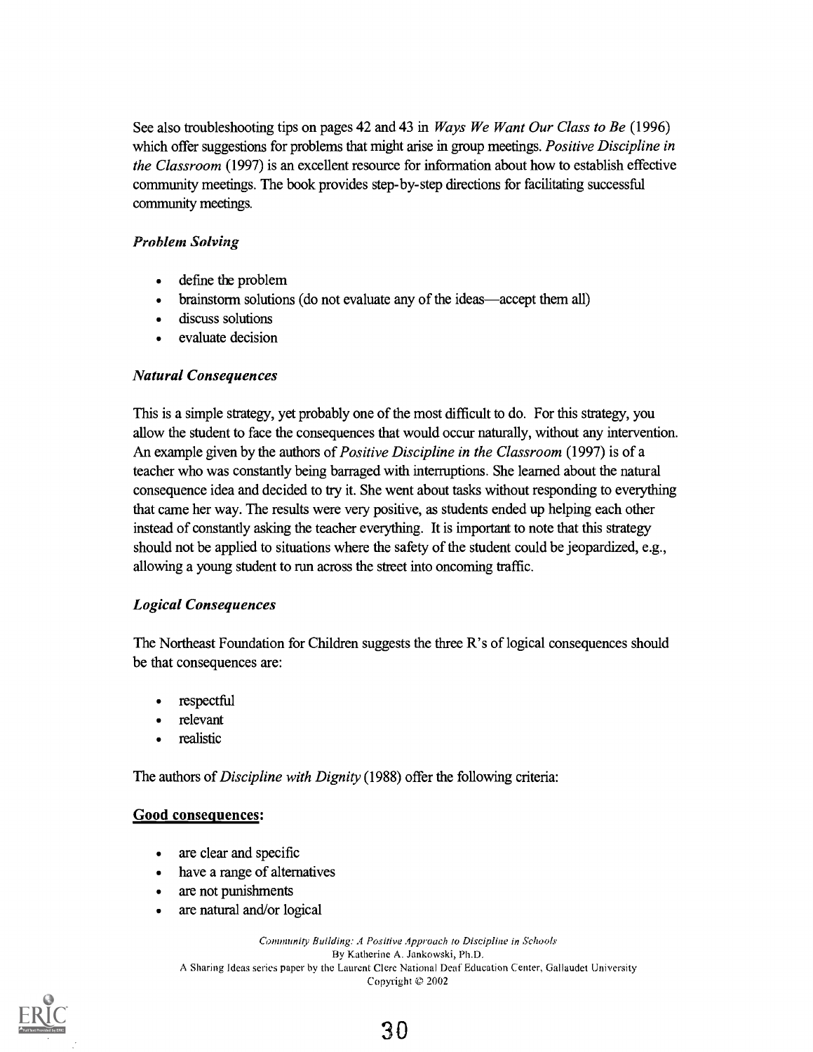See also troubleshooting tips on pages 42 and 43 in *Ways We Want Our Class to Be* (1996) which offer suggestions for problems that might arise in group meetings. *Positive Discipline in* the Classroom (1997) is an excellent resource for information about how to establish effective community meetings. The book provides step-by-step directions for facilitating successful community meetings.

#### Problem Solving

- define the problem
- brainstorm solutions (do not evaluate any of the ideas—accept them all)
- discuss solutions
- evaluate decision

#### Natural Consequences

This is a simple strategy, yet probably one of the most difficult to do. For this strategy, you allow the student to face the consequences that would occur naturally, without any intervention. An example given by the authors of *Positive Discipline in the Classroom* (1997) is of a teacher who was constantly being barraged with interruptions. She learned about the natural consequence idea and decided to try it. She went about tasks without responding to everything that came her way. The results were very positive, as students ended up helping each other instead of constantly asking the teacher everything. It is important to note that this strategy should not be applied to situations where the safety of the student could be jeopardized, e.g., allowing a young student to run across the street into oncoming traffic.

#### Logical Consequences

The Northeast Foundation for Children suggests the three R's of logical consequences should be that consequences are:

- respectful
- relevant
- realistic

The authors of *Discipline with Dignity* (1988) offer the following criteria:

#### Good consequences:

- are clear and specific  $\bullet$
- have a range of alternatives
- are not punishments
- are natural and/or logical

Community Building: A Positive Approach to Discipline in Schools By Katherine A. Jankowski, Ph.D. A Sharing Ideas series paper by the Laurent Clerc National Deaf Education Center, Gallaudet University Copyright © 2002



30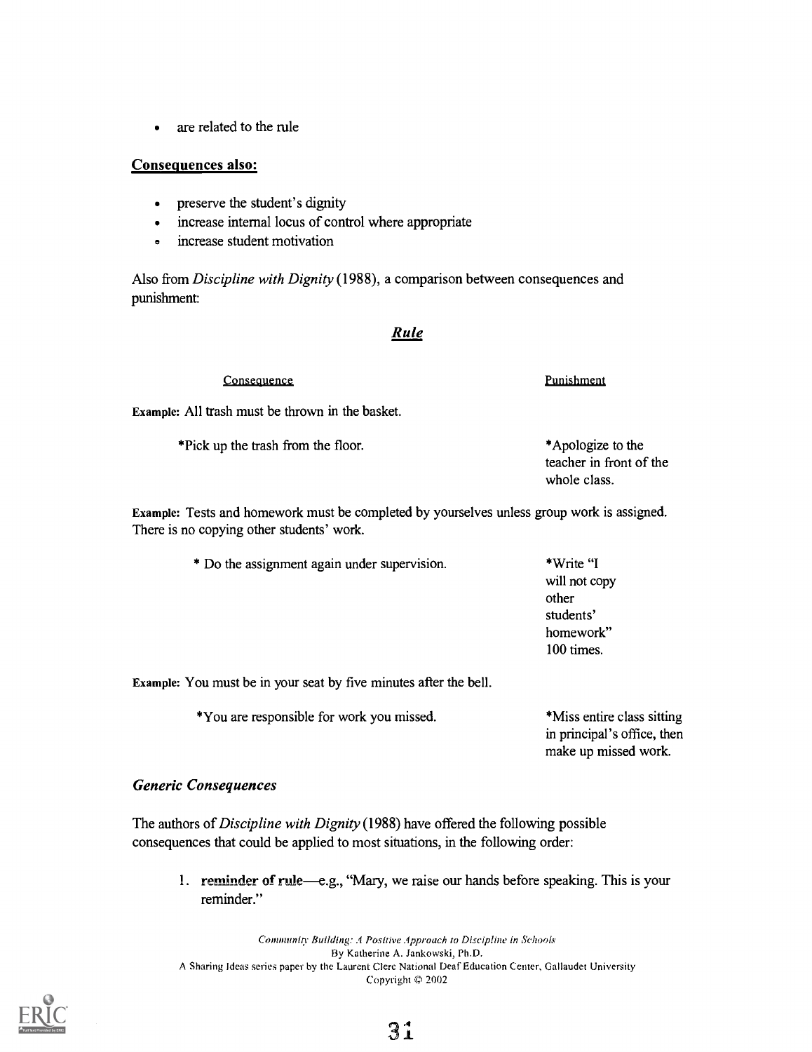are related to the rule

#### Consequences also:

- preserve the student's dignity
- increase internal locus of control where appropriate
- increase student motivation  $\bullet$

Also from Discipline with Dignity (1988), a comparison between consequences and punishment:

#### Rule

| Consequence                                             | Punishment                                                   |
|---------------------------------------------------------|--------------------------------------------------------------|
| <b>Example:</b> All trash must be thrown in the basket. |                                                              |
| *Pick up the trash from the floor.                      | *Apologize to the<br>teacher in front of the<br>whole class. |

Example: Tests and homework must be completed by yourselves unless group work is assigned. There is no copying other students' work.

> \* Do the assignment again under supervision. \*Write "I will not copy other students' homework" 100 times.

Example: You must be in your seat by five minutes after the bell.

\*You are responsible for work you missed.

\*Miss entire class sitting in principal's office, then make up missed work.

#### Generic Consequences

The authors of *Discipline with Dignity* (1988) have offered the following possible consequences that could be applied to most situations, in the following order:

1. reminder of rule—e.g., "Mary, we raise our hands before speaking. This is your reminder."

Community Building: A Positive Approach to Discipline in Schools By Katherine A. Jankowski, Ph.D. A Sharing Ideas series paper by the Laurent Clerc National Deaf Education Center, Gallaudet University Copyright © 2002

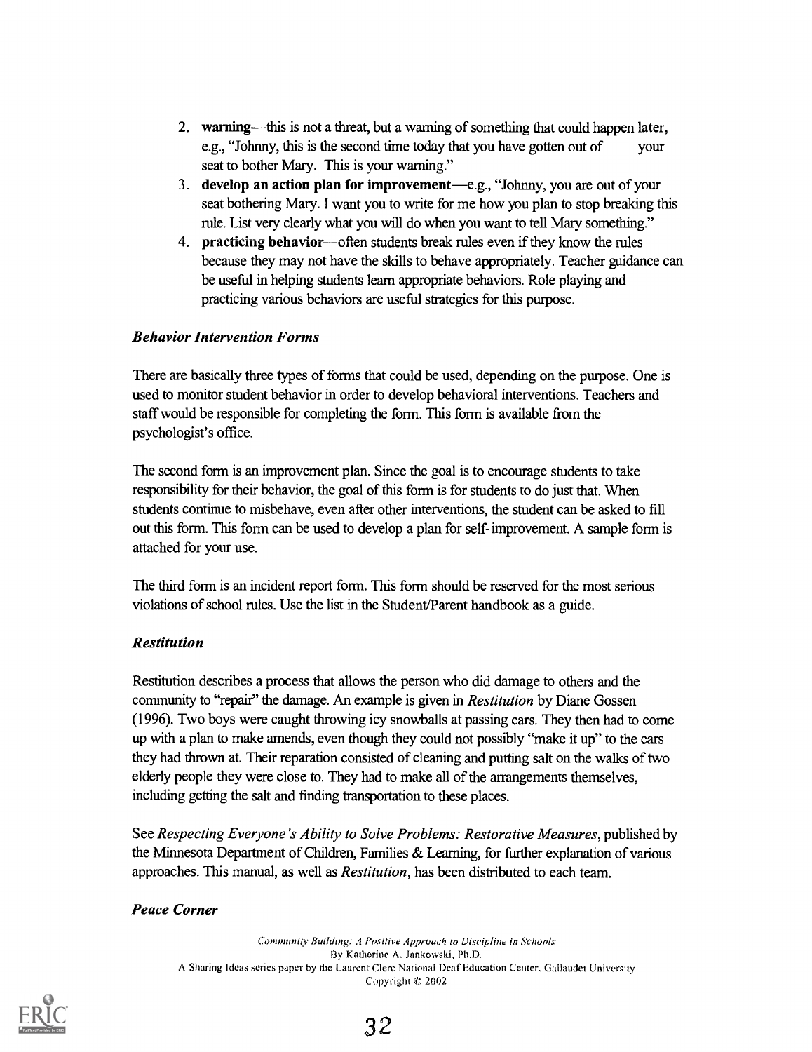- 2. warning—this is not a threat, but a warning of something that could happen later, e.g., "Johnny, this is the second time today that you have gotten out of your seat to bother Mary. This is your warning."
- 3. develop an action plan for improvement—e.g., "Johnny, you are out of your seat bothering Mary. I want you to write for me how you plan to stop breaking this rule. List very clearly what you will do when you want to tell Mary something."
- 4. practicing behavior—often students break rules even if they know the rules because they may not have the skills to behave appropriately. Teacher guidance can be useful in helping students learn appropriate behaviors. Role playing and practicing various behaviors are useful strategies for this purpose.

#### Behavior Intervention Forms

There are basically three types of forms that could be used, depending on the purpose. One is used to monitor student behavior in order to develop behavioral interventions. Teachers and staff would be responsible for completing the form. This form is available from the psychologist's office.

The second form is an improvement plan. Since the goal is to encourage students to take responsibility for their behavior, the goal of this form is for students to do just that. When students continue to misbehave, even after other interventions, the student can be asked to fill out this form. This form can be used to develop a plan for self-improvement. A sample form is attached for your use.

The third form is an incident report form. This form should be reserved for the most serious violations of school rules. Use the list in the Student/Parent handbook as a guide.

#### Restitution

Restitution describes a process that allows the person who did damage to others and the community to "repair" the damage. An example is given in *Restitution* by Diane Gossen (1996). Two boys were caught throwing icy snowballs at passing cars. They then had to come up with a plan to make amends, even though they could not possibly "make it up" to the cars they had thrown at. Their reparation consisted of cleaning and putting salt on the walks of two elderly people they were close to. They had to make all of the arrangements themselves, including getting the salt and finding transportation to these places.

See Respecting Everyone's Ability to Solve Problems: Restorative Measures, published by the Minnesota Department of Children, Families & Learning, for further explanation of various approaches. This manual, as well as Restitution, has been distributed to each team.

#### Peace Corner

Community Building: A Positive Approach to Discipline in Schools By Katherine A. Jankowski, Ph.D. A Sharing Ideas series paper by the Laurent Clerc National Deaf Education Center, Ciallaudet University Copyright © 2002

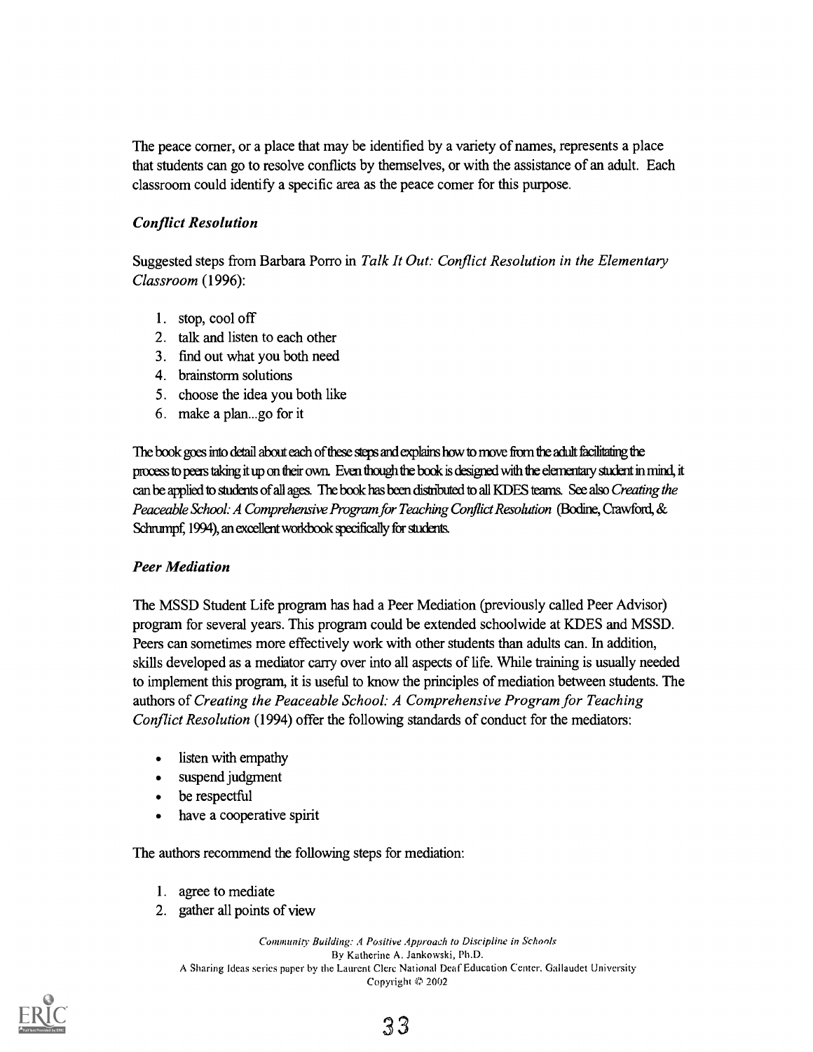The peace corner, or a place that may be identified by a variety of names, represents a place that students can go to resolve conflicts by themselves, or with the assistance of an adult. Each classroom could identify a specific area as the peace corner for this purpose.

#### Conflict Resolution

Suggested steps from Barbara Porro in Talk It Out: Conflict Resolution in the Elementary Classroom (1996):

- 1. stop, cool off
- 2. talk and listen to each other
- 3. find out what you both need
- 4. brainstorm solutions
- 5. choose the idea you both like
- 6. make a plan...go for it

The book goes into detail about each of these steps and explains how to move from the adult facilitating the process to peers taking it up on their own. Even though the book is designed with the elementary student in mind, it can be applied to students of all ages. The book has been distributed to all KDES teams. See also Creating the Peaceable School: A Comprehensive Program for Teaching Conflict Resolution (Bodine, Crawford, & Schrumpf, 1994), an excellent workbook specifically for students.

#### Peer Mediation

The MSSD Student Life program has had a Peer Mediation (previously called Peer Advisor) program for several years. This program could be extended schoolwide at KDES and MSSD. Peers can sometimes more effectively work with other students than adults can. In addition, skills developed as a mediator carry over into all aspects of life. While training is usually needed to implement this program, it is useful to know the principles of mediation between students. The authors of Creating the Peaceable School: A Comprehensive Program for Teaching Conflict Resolution (1994) offer the following standards of conduct for the mediators:

- listen with empathy
- suspend judgment
- be respectful
- have a cooperative spirit

The authors recommend the following steps for mediation:

- 1. agree to mediate
- 2. gather all points of view

Community Building: A Positive Approach to Discipline in Schools By Katherine A. Jankowski, Ph.D. A Sharing Ideas series paper by the Laurent Clere National Deaf Education Center, Gallaudet University Copyright © 2002

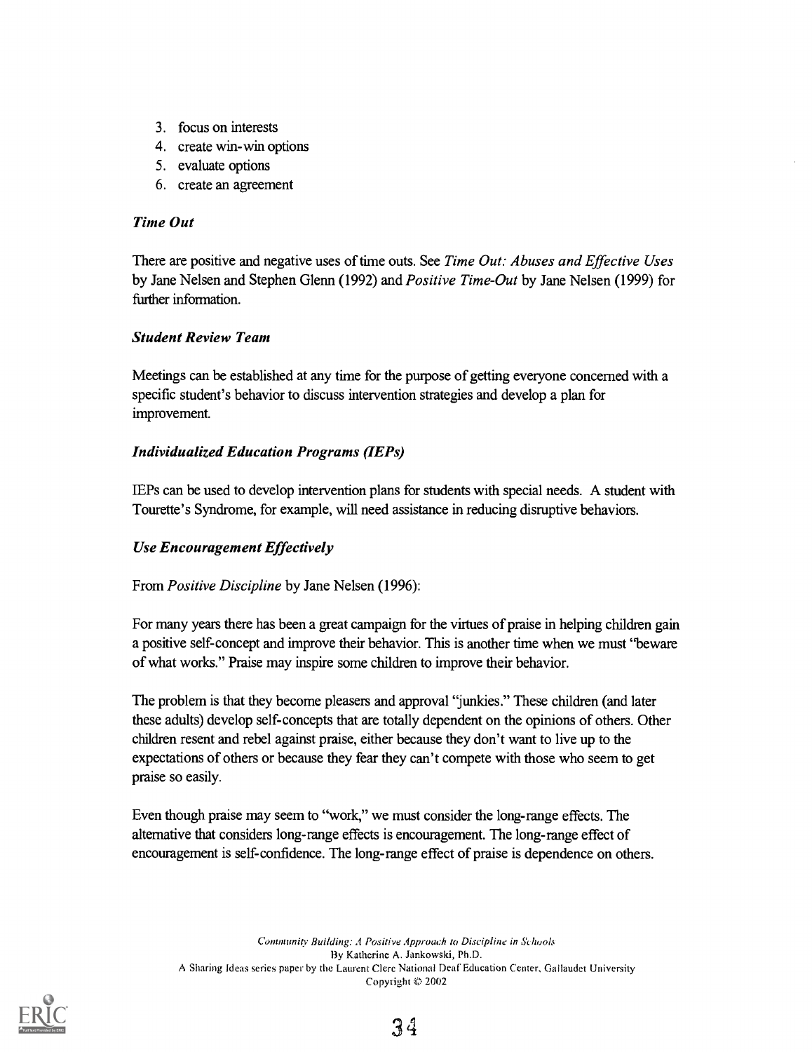- 3. focus on interests
- 4. create win-win options
- 5. evaluate options
- 6. create an agreement

#### Time Out

There are positive and negative uses of time outs. See Time Out: Abuses and Effective Uses by Jane Nelsen and Stephen Glenn (1992) and Positive Time-Out by Jane Nelsen (1999) for further information.

#### Student Review Team

Meetings can be established at any time for the purpose of getting everyone concerned with a specific student's behavior to discuss intervention strategies and develop a plan for improvement.

#### Individualized Education Programs (IEPs)

IEPs can be used to develop intervention plans for students with special needs. A student with Tourette's Syndrome, for example, will need assistance in reducing disruptive behaviors.

#### Use Encouragement Effectively

#### From Positive Discipline by Jane Nelsen (1996):

For many years there has been a great campaign for the virtues of praise in helping children gain a positive self-concept and improve their behavior. This is another time when we must "beware of what works." Praise may inspire some children to improve their behavior.

The problem is that they become pleasers and approval "junkies." These children (and later these adults) develop self-concepts that are totally dependent on the opinions of others. Other children resent and rebel against praise, either because they don't want to live up to the expectations of others or because they fear they can't compete with those who seem to get praise so easily.

Even though praise may seem to "work," we must consider the long-range effects. The alternative that considers long-range effects is encouragement. The long-range effect of encouragement is self-confidence. The long-range effect of praise is dependence on others.

Community Building: A Positive Approach to Discipline in Schools By Katherine A. Jankowski, Ph.D. A Sharing Ideas series paper by the Laurent Clerc National Deaf Education Center, Gallaudet University Copyright © 2002

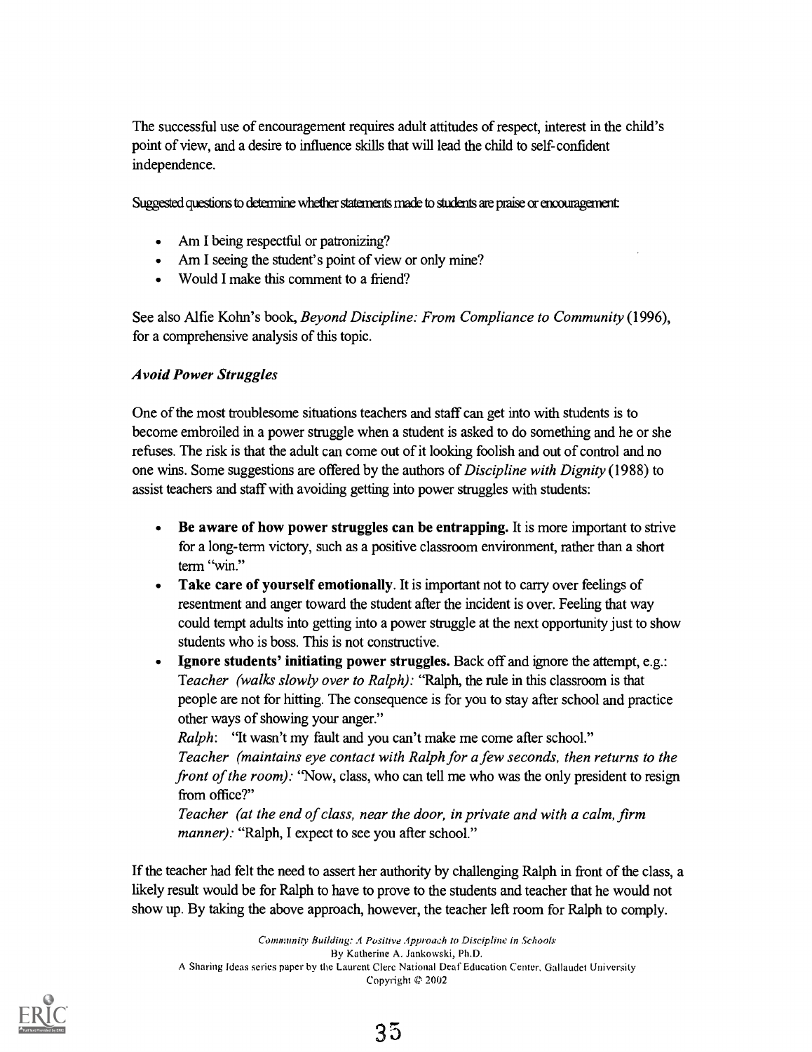The successful use of encouragement requires adult attitudes of respect, interest in the child's point of view, and a desire to influence skills that will lead the child to self-confident independence.

Suggested questions to determine whether statements made to students are praise or encouragement:

- Am I being respectful or patronizing?
- Am I seeing the student's point of view or only mine?  $\bullet$
- Would I make this comment to a friend?

See also Alfie Kohn's book, Beyond Discipline: From Compliance to Community (1996), for a comprehensive analysis of this topic.

#### Avoid Power Struggles

One of the most troublesome situations teachers and staff can get into with students is to become embroiled in a power struggle when a student is asked to do something and he or she refuses. The risk is that the adult can come out of it looking foolish and out of control and no one wins. Some suggestions are offered by the authors of *Discipline with Dignity* (1988) to assist teachers and staff with avoiding getting into power struggles with students:

- Be aware of how power struggles can be entrapping. It is more important to strive  $\bullet$ for a long-term victory, such as a positive classroom environment, rather than a short term "win."
- Take care of yourself emotionally. It is important not to carry over feelings of resentment and anger toward the student after the incident is over. Feeling that way could tempt adults into getting into a power struggle at the next opportunity just to show students who is boss. This is not constructive.
- Ignore students' initiating power struggles. Back off and ignore the attempt, e.g.: Teacher (walks slowly over to Ralph): "Ralph, the rule in this classroom is that people are not for hitting. The consequence is for you to stay after school and practice other ways of showing your anger."

Ralph: "It wasn't my fault and you can't make me come after school." Teacher (maintains eye contact with Ralph for a few seconds, then returns to the front of the room): "Now, class, who can tell me who was the only president to resign from office?"

Teacher (at the end of class, near the door, in private and with a calm, firm manner): "Ralph, I expect to see you after school."

If the teacher had felt the need to assert her authority by challenging Ralph in front of the class, a likely result would be for Ralph to have to prove to the students and teacher that he would not show up. By taking the above approach, however, the teacher left room for Ralph to comply.

Community Building: A Positive Approach to Discipline in Schools By Katherine A. Jankowski, Ph.D. A Sharing Ideas series paper by the Laurent Clere National Deaf Education Center, Ciallaudet University Copyright © 2002

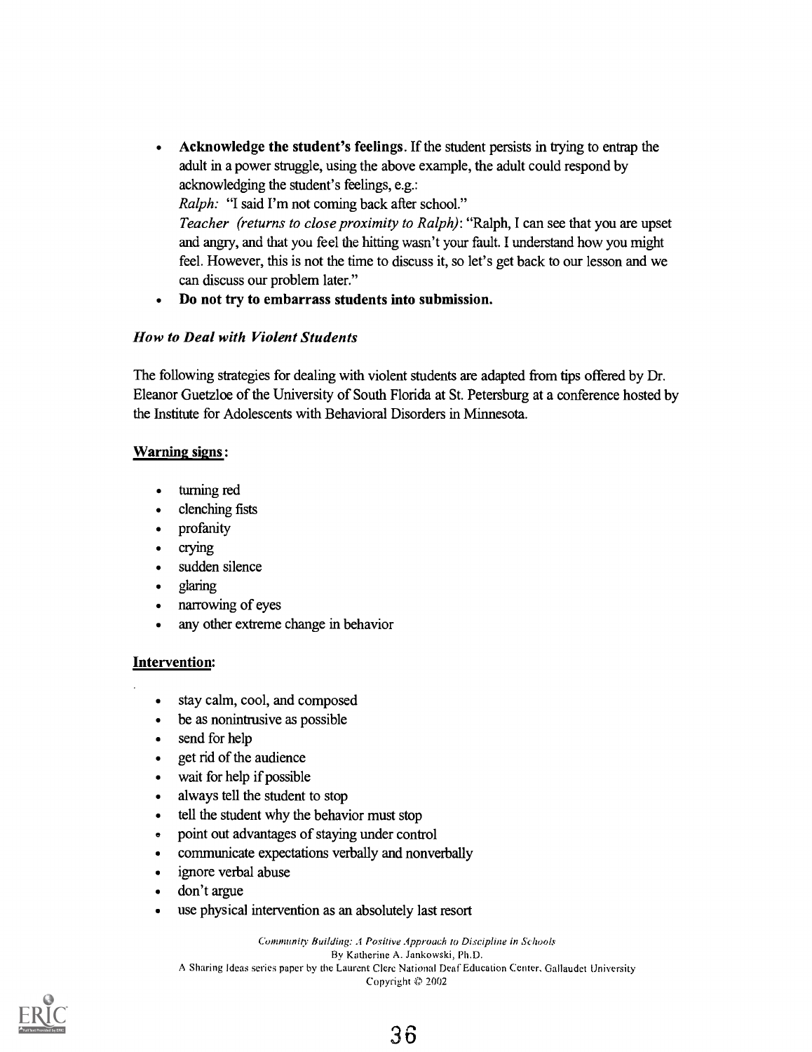Acknowledge the student's feelings. If the student persists in trying to entrap the adult in a power struggle, using the above example, the adult could respond by acknowledging the student's feelings, e.g.:

Ralph: "I said I'm not coming back after school." Teacher (returns to close proximity to Ralph): "Ralph, I can see that you are upset and angry, and that you feel the hitting wasn't your fault. I understand how you might feel. However, this is not the time to discuss it, so let's get back to our lesson and we can discuss our problem later."

Do not try to embarrass students into submission.  $\bullet$ 

#### How to Deal with Violent Students

The following strategies for dealing with violent students are adapted from tips offered by Dr. Eleanor Guetzloe of the University of South Florida at St. Petersburg at a conference hosted by the Institute for Adolescents with Behavioral Disorders in Minnesota.

#### Warning signs :

- turning red  $\bullet$
- clenching fists
- profanity
- crying
- sudden silence  $\bullet$
- glaring
- narrowing of eyes
- any other extreme change in behavior

#### Intervention:

- stay calm, cool, and composed
- be as nonintrusive as possible
- send for help  $\bullet$
- get rid of the audience
- wait for help if possible
- always tell the student to stop
- tell the student why the behavior must stop
- point out advantages of staying under control
- communicate expectations verbally and nonverbally
- ignore verbal abuse
- don't argue
- use physical intervention as an absolutely last resort

Community Building: A Positive Approach to Discipline in Schools By Katherine A. Jankowski, Ph.D. A Sharing Ideas series paper by the Laurent Clerc National Deaf Education Center, Ciallaudet University Copyright  $© 2002$ 



36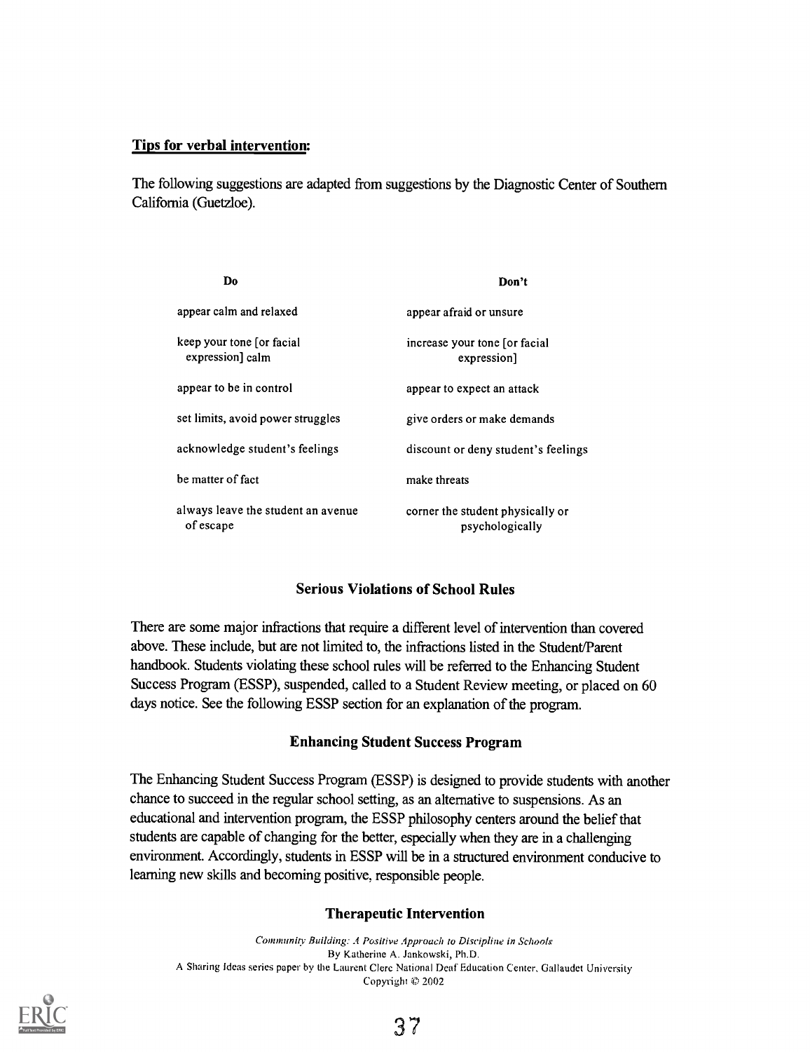#### Tips for verbal intervention:

The following suggestions are adapted from suggestions by the Diagnostic Center of Southern California (Guetzloe).

| Do                                              | Don't                                               |
|-------------------------------------------------|-----------------------------------------------------|
| appear calm and relaxed                         | appear afraid or unsure                             |
| keep your tone for facial<br>expression] calm   | increase your tone [or facial<br>expression]        |
| appear to be in control                         | appear to expect an attack                          |
| set limits, avoid power struggles               | give orders or make demands                         |
| acknowledge student's feelings                  | discount or deny student's feelings                 |
| be matter of fact                               | make threats                                        |
| always leave the student an avenue<br>of escape | corner the student physically or<br>psychologically |

#### Serious Violations of School Rules

There are some major infractions that require a different level of intervention than covered above. These include, but are not limited to, the infractions listed in the Student/Parent handbook. Students violating these school rules will be referred to the Enhancing Student Success Program (ESSP), suspended, called to a Student Review meeting, or placed on 60 days notice. See the following ESSP section for an explanation of the program.

#### Enhancing Student Success Program

The Enhancing Student Success Program (ESSP) is designed to provide students with another chance to succeed in the regular school setting, as an alternative to suspensions. As an educational and intervention program, the ES SP philosophy centers around the belief that students are capable of changing for the better, especially when they are in a challenging environment. Accordingly, students in ESSP will be in a structured environment conducive to learning new skills and becoming positive, responsible people.

#### Therapeutic Intervention

Community Building: A Positive Approach to Discipline in Schools By Katherine A. Jankowski, Ph.D. A Sharing Ideas series paper by the Laurent Clere National Deaf Education Center, Gallaudet University Copyright '© 2002

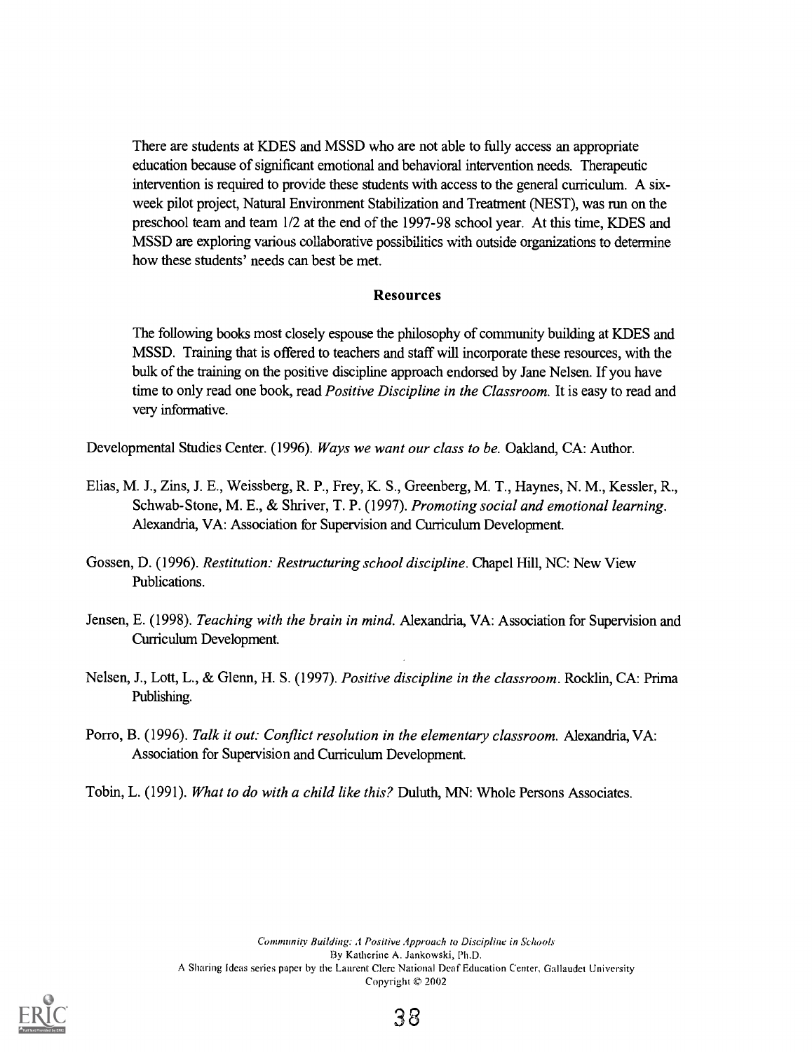There are students at KDES and MSSD who are not able to fully access an appropriate education because of significant emotional and behavioral intervention needs. Therapeutic intervention is required to provide these students with access to the general curriculum. A sixweek pilot project, Natural Environment Stabilization and Treatment (NEST), was run on the preschool team and team 1/2 at the end of the 1997-98 school year. At this time, KDES and MSSD are exploring various collaborative possibilities with outside organizations to determine how these students' needs can best be met.

#### Resources

The following books most closely espouse the philosophy of community building at KDES and MSSD. Training that is offered to teachers and staff will incorporate these resources, with the bulk of the training on the positive discipline approach endorsed by Jane Nelsen. If you have time to only read one book, read *Positive Discipline in the Classroom*. It is easy to read and very informative.

Developmental Studies Center. (1996). Ways we want our class to be. Oakland, CA: Author.

- Elias, M. J., Zins, J. E., Weissberg, R. P., Frey, K. S., Greenberg, M. T., Haynes, N. M., Kessler, R., Schwab-Stone, M. E., & Shriver, T. P. (1997). Promoting social and emotional learning. Alexandria, VA: Association for Supervision and Curriculum Development.
- Gossen, D. (1996). Restitution: Restructuring school discipline. Chapel Hill, NC: New View Publications.
- Jensen, E. (1998). Teaching with the brain in mind. Alexandria, VA: Association for Supervision and Curriculum Development.
- Nelsen, J., Lott, L., & Glenn, H. S. (1997). Positive discipline in the classroom. Rocklin, CA: Prima Publishing.
- Porro, B. (1996). Talk it out: Conflict resolution in the elementary classroom. Alexandria, VA: Association for Supervision and Curriculum Development.
- Tobin, L. (1991). What to do with a child like this? Duluth, MN: Whole Persons Associates.

Community Building: A Positive Approach to Discipline in Schools By Katherine A. Jankowski, Ph.D. A Sharing Ideas series paper by the Laurent Clerc National Deaf Education Center, Gallaudet University Copyright  $© 2002$ 



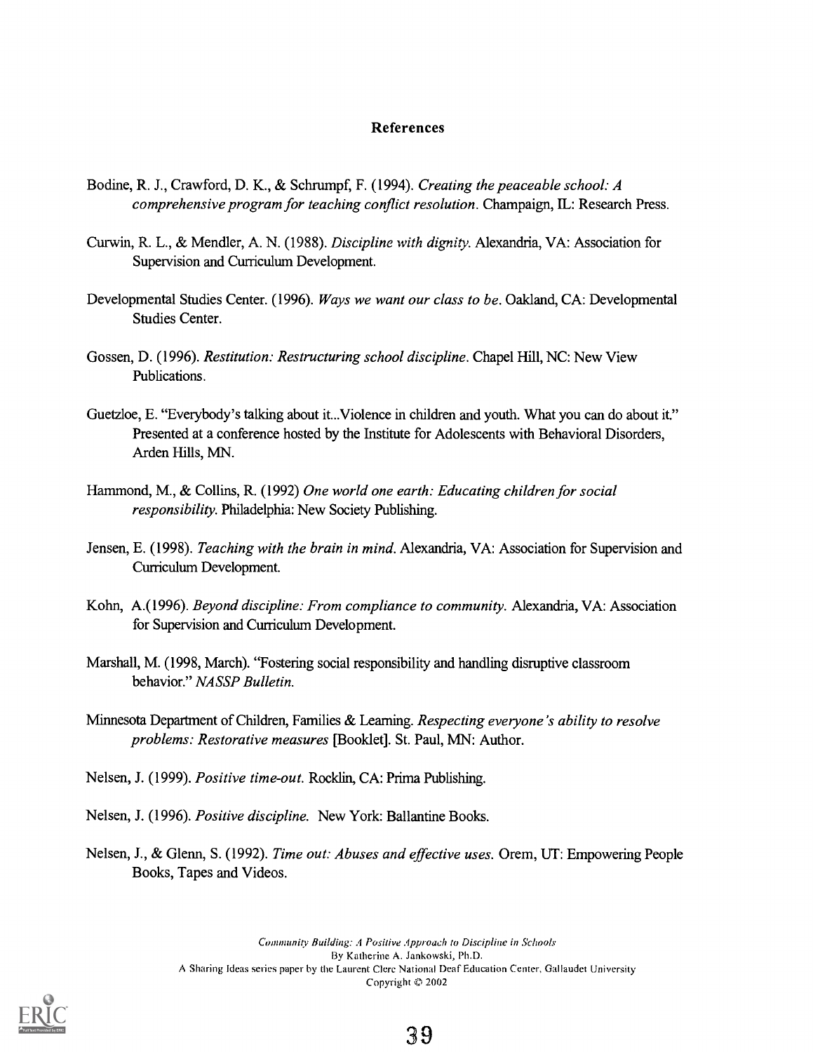#### References

- Bodine, R. J., Crawford, D. K., & Schrumpf, F. (1994). Creating the peaceable school: A comprehensive program for teaching conflict resolution. Champaign, IL: Research Press.
- Cuwin, R. L., & Mendler, A. N. (1988). Discipline with dignity. Alexandria, VA: Association for Supervision and Curriculum Development
- Developmental Studies Center. (1996). Ways we want our class to be. Oakland, CA: Developmental Studies Center.
- Gossen, D. (1996). Restitution: Restructuring school discipline. Chapel Hill, NC: New View Publications.
- Guetzloe, E. "Everybody's talking about it...Violence in children and youth. What you can do about it" Presented at a conference hosted by the Institute for Adolescents with Behavioral Disorders, Arden Hills, MN.
- Hammond, M., & Collins, R. (1992) One world one earth: Educating children for social responsibility. Philadelphia: New Society Publishing.
- Jensen, E. (1998). *Teaching with the brain in mind*. Alexandria, VA: Association for Supervision and Curriculum Development
- Kohn, A.(1996). Beyond discipline: From compliance to community. Alexandria, VA: Association for Supervision and Curriculum Development.
- Marshall, M. (1998, March). "Fostering social responsibility and handling disruptive classroom behavior." NASSP Bulletin.
- Minnesota Department of Children, Families & Learning. Respecting everyone's ability to resolve problems: Restorative measures [Booklet]. St. Paul, MN: Author.
- Nelsen, J. (1999). Positive time-out. Rocklin, CA: Prima Publishing.
- Nelsen, J. (1996). Positive discipline. New York: Ballantine Books.
- Nelsen, J., & Glenn, S. (1992). Time out: Abuses and effective uses. Orem, UT: Empowering People Books, Tapes and Videos.

Community Building: A Positive Approach to Discipline in Schools By Katherine A. Jankowski, Ph.D. A Sharing Ideas series paper by the Laurent Clere National Deaf Education Center, Gallaudet University Copyright (0 2002

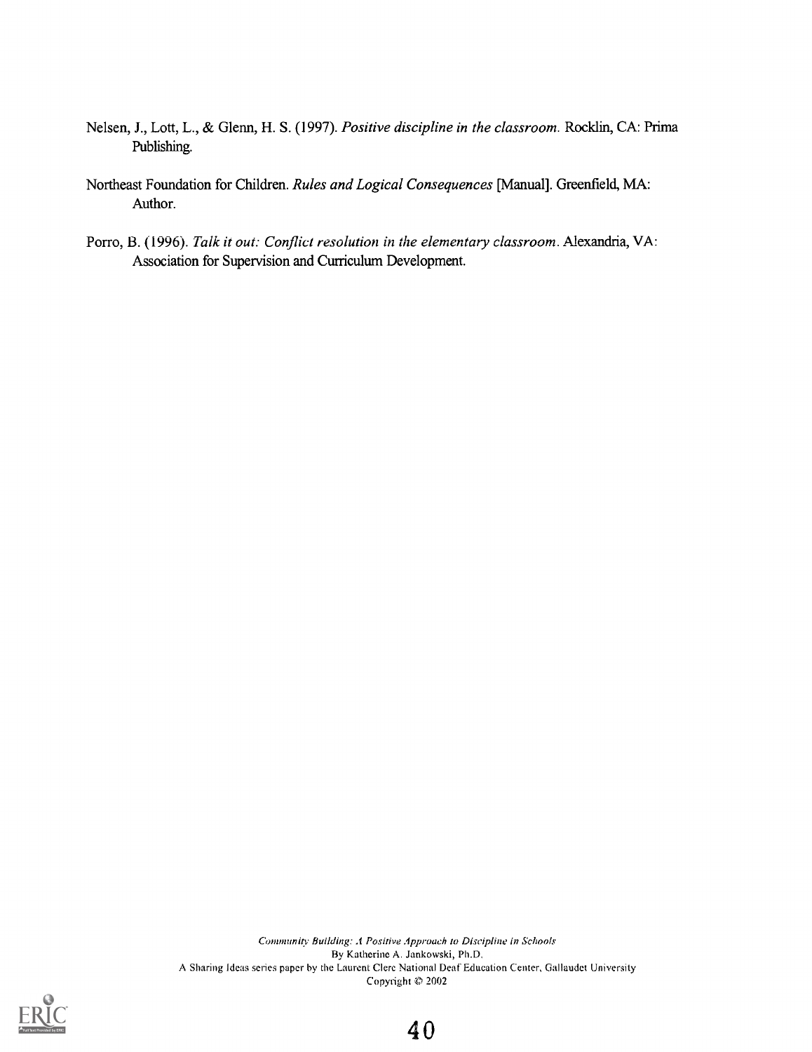- Nelsen, J., Lott, L., & Glenn, H. S. (1997). Positive discipline in the classroom. Rocklin, CA: Prima Publishing.
- Northeast Foundation for Children. Rules and Logical Consequences [Manual]. Greenfield, MA: Author.
- Porro, B. (1996). Talk it out: Conflict resolution in the elementary classroom. Alexandria, VA: Association for Supervision and Curriculum Development.

Community Building: A Positive Approach to Discipline in Schools By Katherine A. Jankowski, Ph.D. A Sharing Ideas series paper by the Laurent Clere National Deaf Education Center, Gallaudet University Copyright  $© 2002$ 



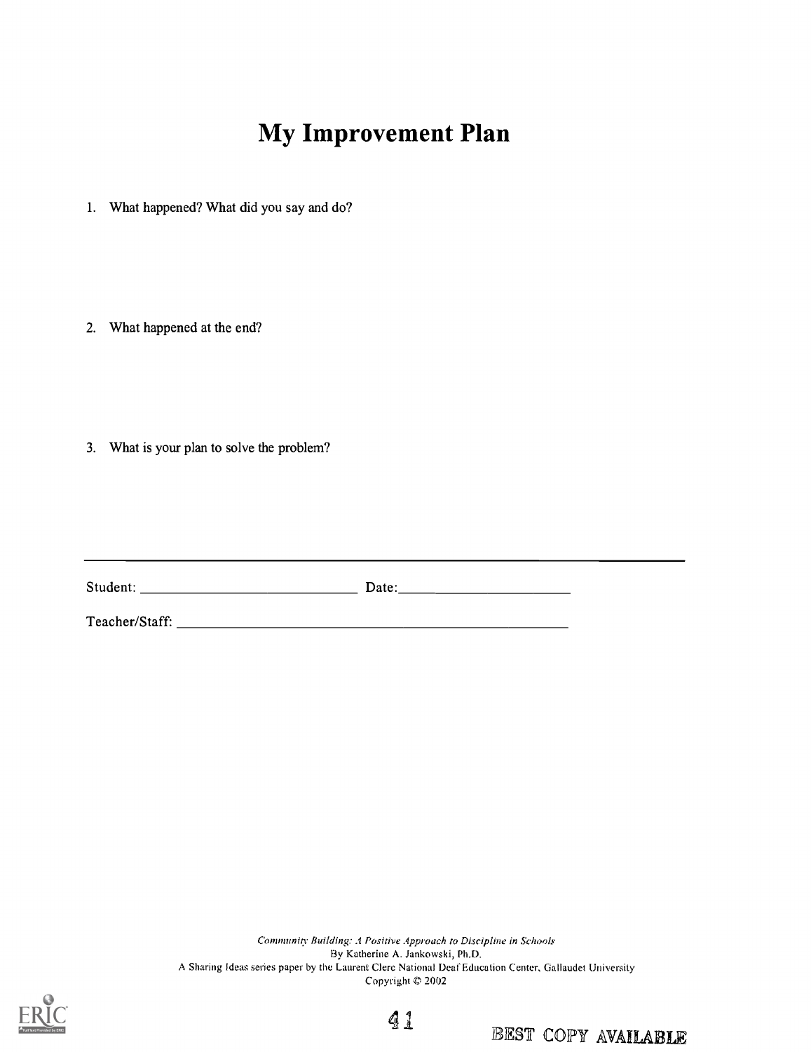# My Improvement Plan

- 1. What happened? What did you say and do?
- 2. What happened at the end?
- 3. What is your plan to solve the problem?

| Student: | Date: |
|----------|-------|
|          |       |

Teacher/Staff:

Community Building: A Positive Approach to Discipline in Schools By Katherine A. Jankowski, Ph.D. A Sharing Ideas series paper by the Laurent Clerc National Deaf Education Center, Gallaudet University Copyright  $© 2002$